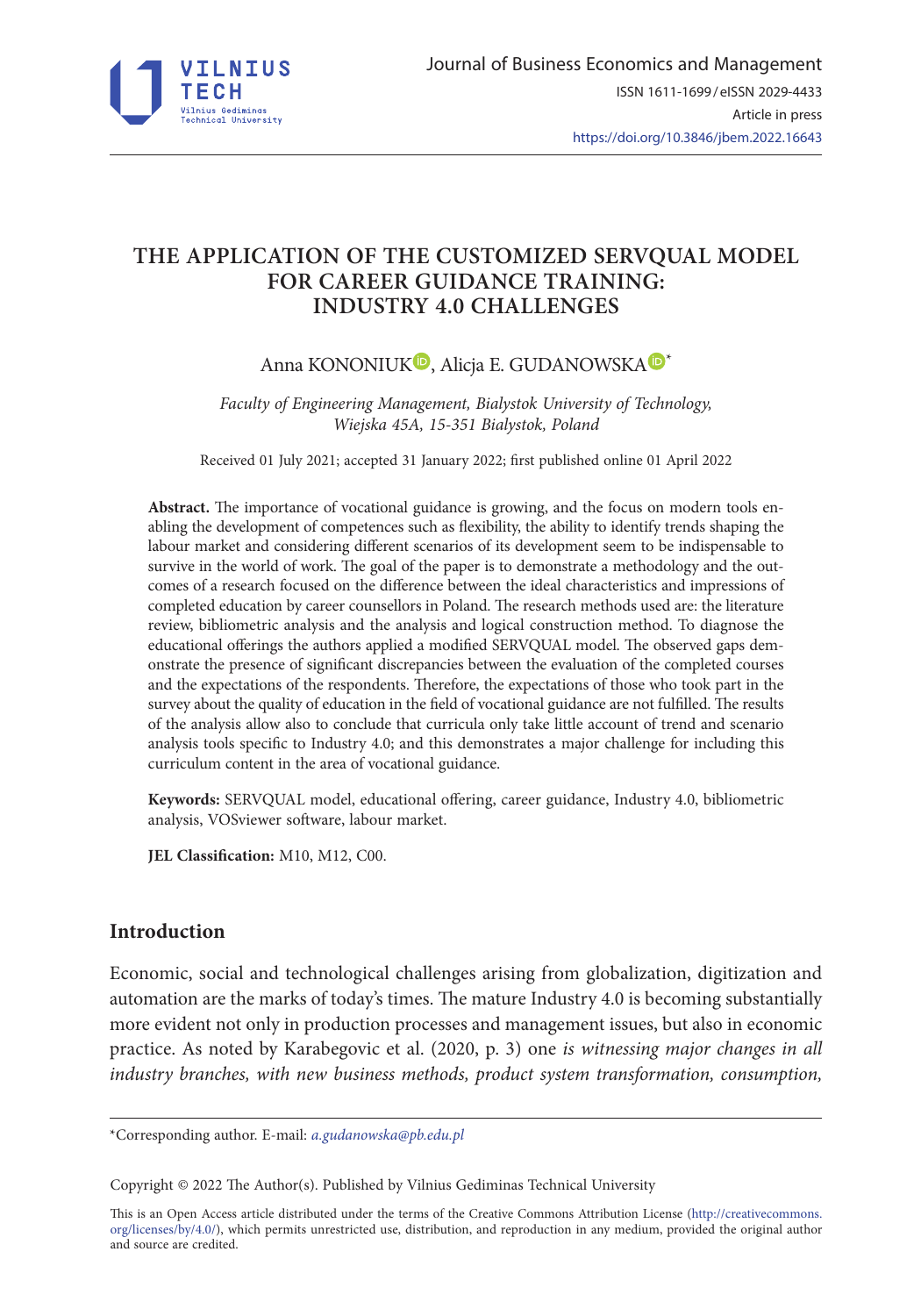

# **THE APPLICATION OF THE CUSTOMIZED SERVQUAL MODEL FOR CAREER GUIDANCE TRAINING: INDUSTRY 4.0 CHALLENGES**

# Anna KONONIUK<sup>O</sup>[,](https://orcid.org/0000-0002-0248-9669) Alicja E. GUDANOWSKA<sup>O\*</sup>

*Faculty of Engineering Management, Bialystok University of Technology, Wiejska 45A, 15-351 Bialystok, Poland*

Received 01 July 2021; accepted 31 January 2022; first published online 01 April 2022

**Abstract.** The importance of vocational guidance is growing, and the focus on modern tools enabling the development of competences such as flexibility, the ability to identify trends shaping the labour market and considering different scenarios of its development seem to be indispensable to survive in the world of work. The goal of the paper is to demonstrate a methodology and the outcomes of a research focused on the difference between the ideal characteristics and impressions of completed education by career counsellors in Poland. The research methods used are: the literature review, bibliometric analysis and the analysis and logical construction method. To diagnose the educational offerings the authors applied a modified SERVQUAL model. The observed gaps demonstrate the presence of significant discrepancies between the evaluation of the completed courses and the expectations of the respondents. Therefore, the expectations of those who took part in the survey about the quality of education in the field of vocational guidance are not fulfilled. The results of the analysis allow also to conclude that curricula only take little account of trend and scenario analysis tools specific to Industry 4.0; and this demonstrates a major challenge for including this curriculum content in the area of vocational guidance.

**Keywords:** SERVQUAL model, educational offering, career guidance, Industry 4.0, bibliometric analysis, VOSviewer software, labour market.

**JEL Classification:** M10, M12, C00.

## **Introduction**

Economic, social and technological challenges arising from globalization, digitization and automation are the marks of today's times. The mature Industry 4.0 is becoming substantially more evident not only in production processes and management issues, but also in economic practice. As noted by Karabegovic et al. (2020, p. 3) one *is witnessing major changes in all industry branches, with new business methods, product system transformation, consumption,* 

\*Corresponding author. E-mail: *[a.gudanowska@pb.edu.pl](mailto:a.gudanowska@pb.edu.pl)*

Copyright © 2022 The Author(s). Published by Vilnius Gediminas Technical University

This is an Open Access article distributed under the terms of the Creative Commons Attribution License ([http://creativecommons.](http://creativecommons.org/licenses/by/4.0/) [org/licenses/by/4.0/\)](http://creativecommons.org/licenses/by/4.0/), which permits unrestricted use, distribution, and reproduction in any medium, provided the original author and source are credited.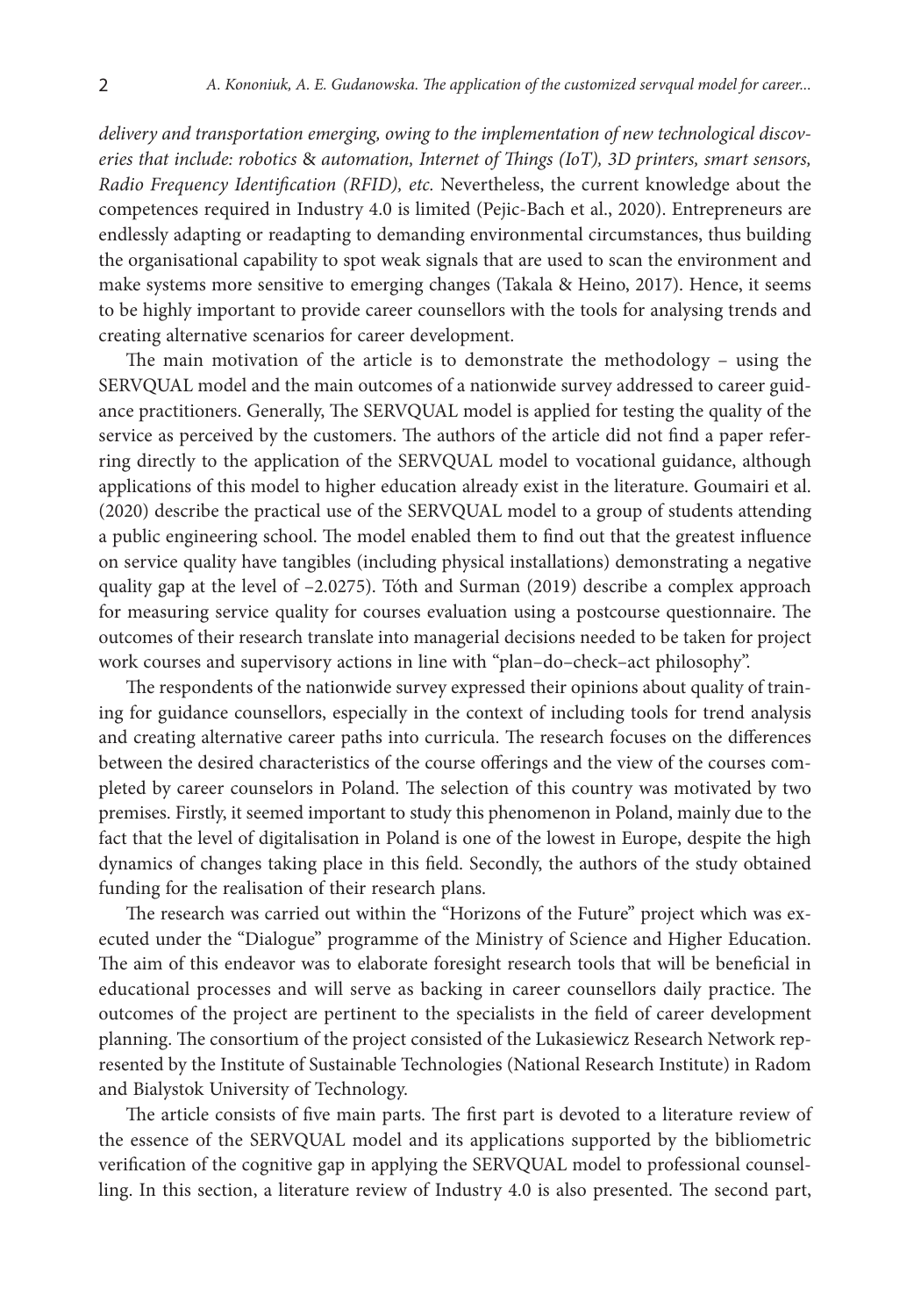*delivery and transportation emerging, owing to the implementation of new technological discoveries that include: robotics* & *automation, Internet of Things (IoT), 3D printers, smart sensors, Radio Frequency Identification (RFID), etc.* Nevertheless, the current knowledge about the competences required in Industry 4.0 is limited (Pejic-Bach et al., 2020). Entrepreneurs are endlessly adapting or readapting to demanding environmental circumstances, thus building the organisational capability to spot weak signals that are used to scan the environment and make systems more sensitive to emerging changes (Takala & Heino, 2017). Hence, it seems to be highly important to provide career counsellors with the tools for analysing trends and creating alternative scenarios for career development.

The main motivation of the article is to demonstrate the methodology – using the SERVQUAL model and the main outcomes of a nationwide survey addressed to career guidance practitioners. Generally, The SERVQUAL model is applied for testing the quality of the service as perceived by the customers. The authors of the article did not find a paper referring directly to the application of the SERVQUAL model to vocational guidance, although applications of this model to higher education already exist in the literature. Goumairi et al. (2020) describe the practical use of the SERVQUAL model to a group of students attending a public engineering school. The model enabled them to find out that the greatest influence on service quality have tangibles (including physical installations) demonstrating a negative quality gap at the level of –2.0275). Tóth and Surman (2019) describe a complex approach for measuring service quality for courses evaluation using a postcourse questionnaire. The outcomes of their research translate into managerial decisions needed to be taken for project work courses and supervisory actions in line with "plan–do–check–act philosophy".

The respondents of the nationwide survey expressed their opinions about quality of training for guidance counsellors, especially in the context of including tools for trend analysis and creating alternative career paths into curricula. The research focuses on the differences between the desired characteristics of the course offerings and the view of the courses completed by career counselors in Poland. The selection of this country was motivated by two premises. Firstly, it seemed important to study this phenomenon in Poland, mainly due to the fact that the level of digitalisation in Poland is one of the lowest in Europe, despite the high dynamics of changes taking place in this field. Secondly, the authors of the study obtained funding for the realisation of their research plans.

The research was carried out within the "Horizons of the Future" project which was executed under the "Dialogue" programme of the Ministry of Science and Higher Education. The aim of this endeavor was to elaborate foresight research tools that will be beneficial in educational processes and will serve as backing in career counsellors daily practice. The outcomes of the project are pertinent to the specialists in the field of career development planning. The consortium of the project consisted of the Lukasiewicz Research Network represented by the Institute of Sustainable Technologies (National Research Institute) in Radom and Bialystok University of Technology.

The article consists of five main parts. The first part is devoted to a literature review of the essence of the SERVQUAL model and its applications supported by the bibliometric verification of the cognitive gap in applying the SERVQUAL model to professional counselling. In this section, a literature review of Industry 4.0 is also presented. The second part,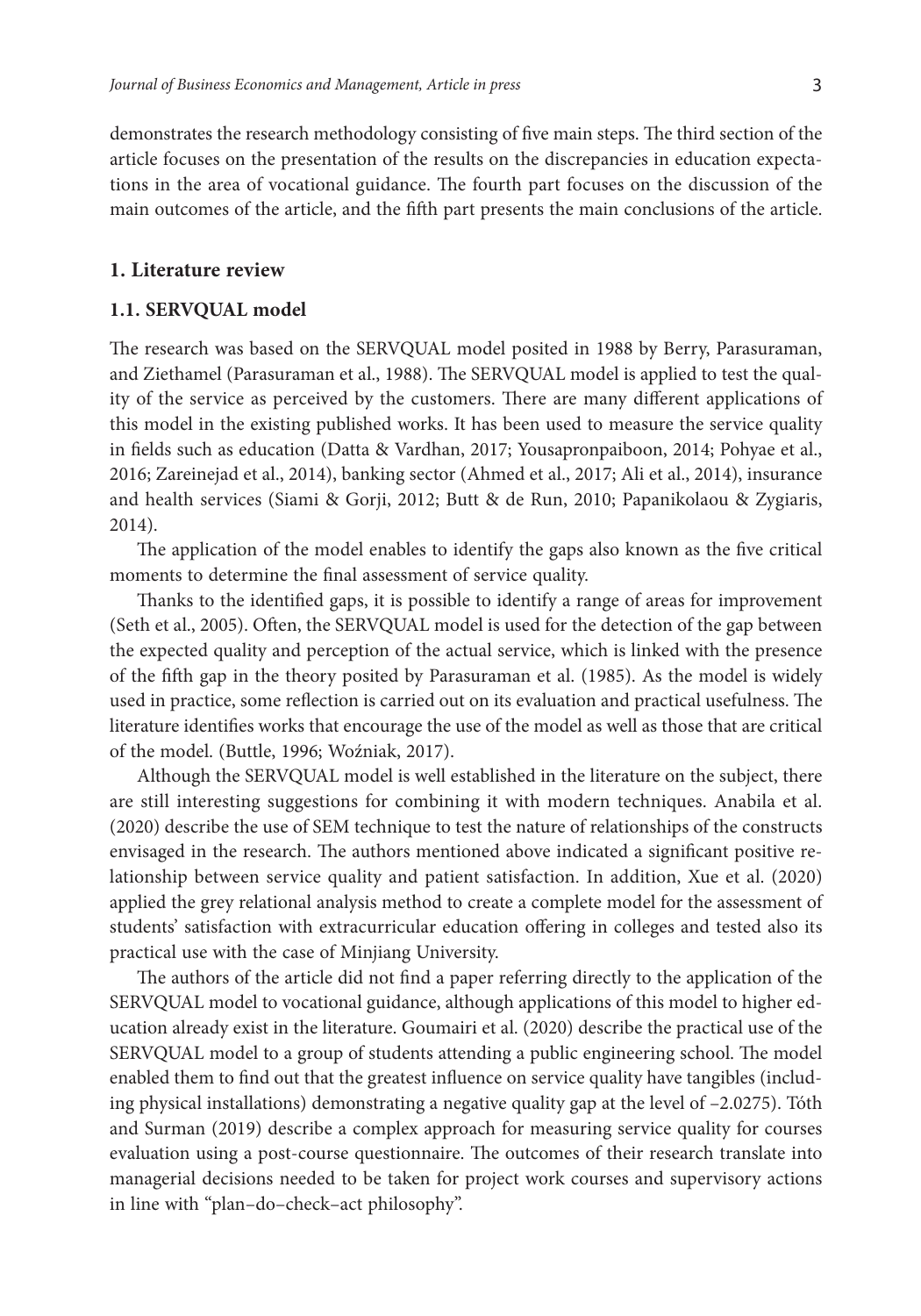demonstrates the research methodology consisting of five main steps. The third section of the article focuses on the presentation of the results on the discrepancies in education expectations in the area of vocational guidance. The fourth part focuses on the discussion of the main outcomes of the article, and the fifth part presents the main conclusions of the article.

#### **1. Literature review**

#### **1.1. SERVQUAL model**

The research was based on the SERVQUAL model posited in 1988 by Berry, Parasuraman, and Ziethamel (Parasuraman et al., 1988). The SERVQUAL model is applied to test the quality of the service as perceived by the customers. There are many different applications of this model in the existing published works. It has been used to measure the service quality in fields such as education (Datta & Vardhan, 2017; Yousapronpaiboon, 2014; Pohyae et al., 2016; Zareinejad et al., 2014), banking sector (Ahmed et al., 2017; Ali et al., 2014), insurance and health services (Siami & Gorji, 2012; Butt & de Run, 2010; Papanikolaou & Zygiaris, 2014).

The application of the model enables to identify the gaps also known as the five critical moments to determine the final assessment of service quality.

Thanks to the identified gaps, it is possible to identify a range of areas for improvement (Seth et al., 2005). Often, the SERVQUAL model is used for the detection of the gap between the expected quality and perception of the actual service, which is linked with the presence of the fifth gap in the theory posited by Parasuraman et al. (1985). As the model is widely used in practice, some reflection is carried out on its evaluation and practical usefulness. The literature identifies works that encourage the use of the model as well as those that are critical of the model. (Buttle, 1996; Woźniak, 2017).

Although the SERVQUAL model is well established in the literature on the subject, there are still interesting suggestions for combining it with modern techniques. Anabila et al. (2020) describe the use of SEM technique to test the nature of relationships of the constructs envisaged in the research. The authors mentioned above indicated a significant positive relationship between service quality and patient satisfaction. In addition, Xue et al. (2020) applied the grey relational analysis method to create a complete model for the assessment of students' satisfaction with extracurricular education offering in colleges and tested also its practical use with the case of Minjiang University.

The authors of the article did not find a paper referring directly to the application of the SERVQUAL model to vocational guidance, although applications of this model to higher education already exist in the literature. Goumairi et al. (2020) describe the practical use of the SERVQUAL model to a group of students attending a public engineering school. The model enabled them to find out that the greatest influence on service quality have tangibles (including physical installations) demonstrating a negative quality gap at the level of –2.0275). Tóth and Surman (2019) describe a complex approach for measuring service quality for courses evaluation using a post-course questionnaire. The outcomes of their research translate into managerial decisions needed to be taken for project work courses and supervisory actions in line with "plan–do–check–act philosophy".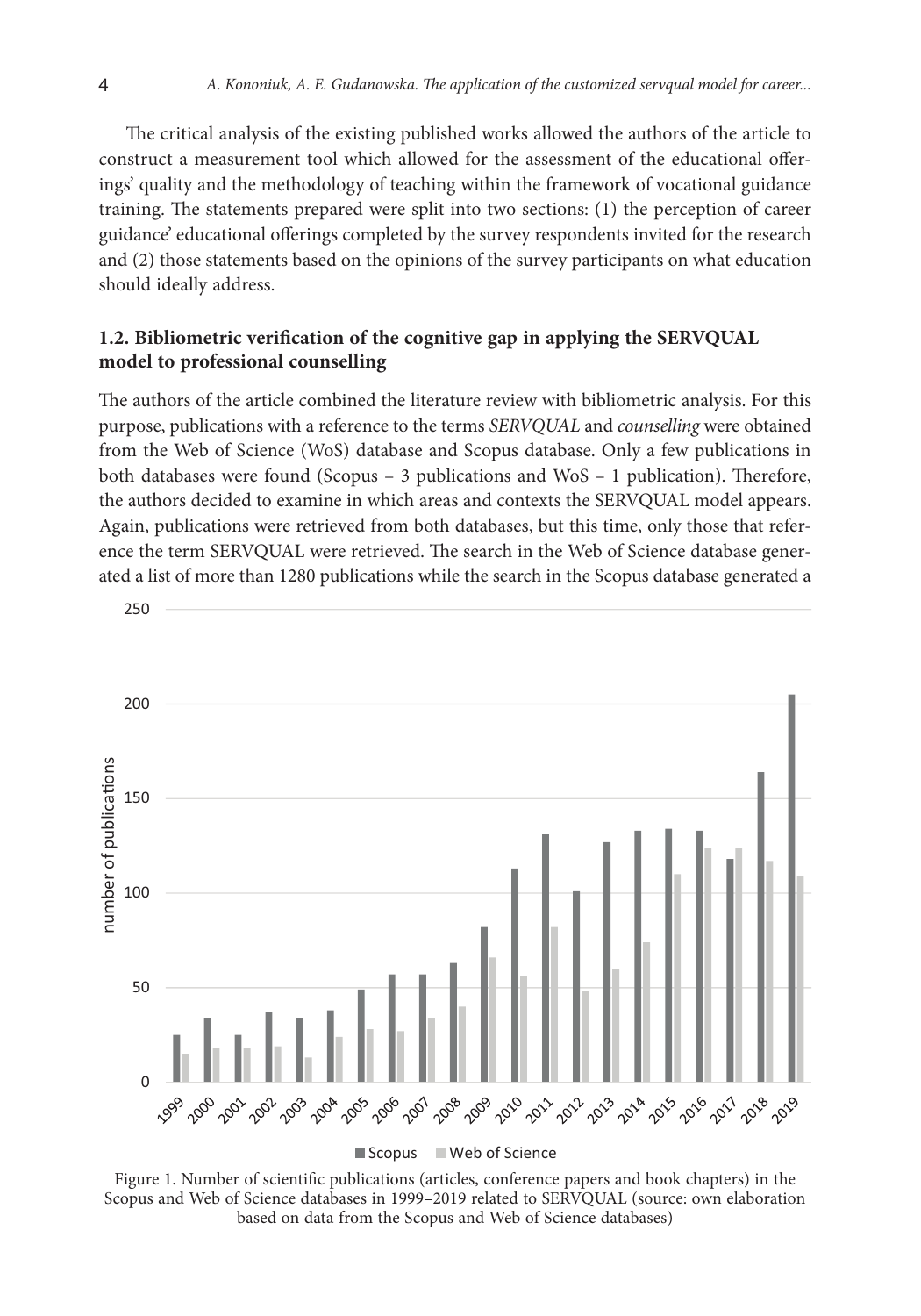The critical analysis of the existing published works allowed the authors of the article to construct a measurement tool which allowed for the assessment of the educational offerings' quality and the methodology of teaching within the framework of vocational guidance training. The statements prepared were split into two sections: (1) the perception of career guidance' educational offerings completed by the survey respondents invited for the research and (2) those statements based on the opinions of the survey participants on what education should ideally address.

# **1.2. Bibliometric verification of the cognitive gap in applying the SERVQUAL model to professional counselling**

The authors of the article combined the literature review with bibliometric analysis. For this purpose, publications with a reference to the terms *SERVQUAL* and *counselling* were obtained from the Web of Science (WoS) database and Scopus database. Only a few publications in both databases were found (Scopus – 3 publications and WoS – 1 publication). Therefore, the authors decided to examine in which areas and contexts the SERVQUAL model appears. Again, publications were retrieved from both databases, but this time, only those that reference the term SERVQUAL were retrieved. The search in the Web of Science database generated a list of more than 1280 publications while the search in the Scopus database generated a



Scopus Web of Science

Figure 1. Number of scientific publications (articles, conference papers and book chapters) in the Scopus and Web of Science databases in 1999–2019 related to SERVQUAL (source: own elaboration based on data from the Scopus and Web of Science databases)

250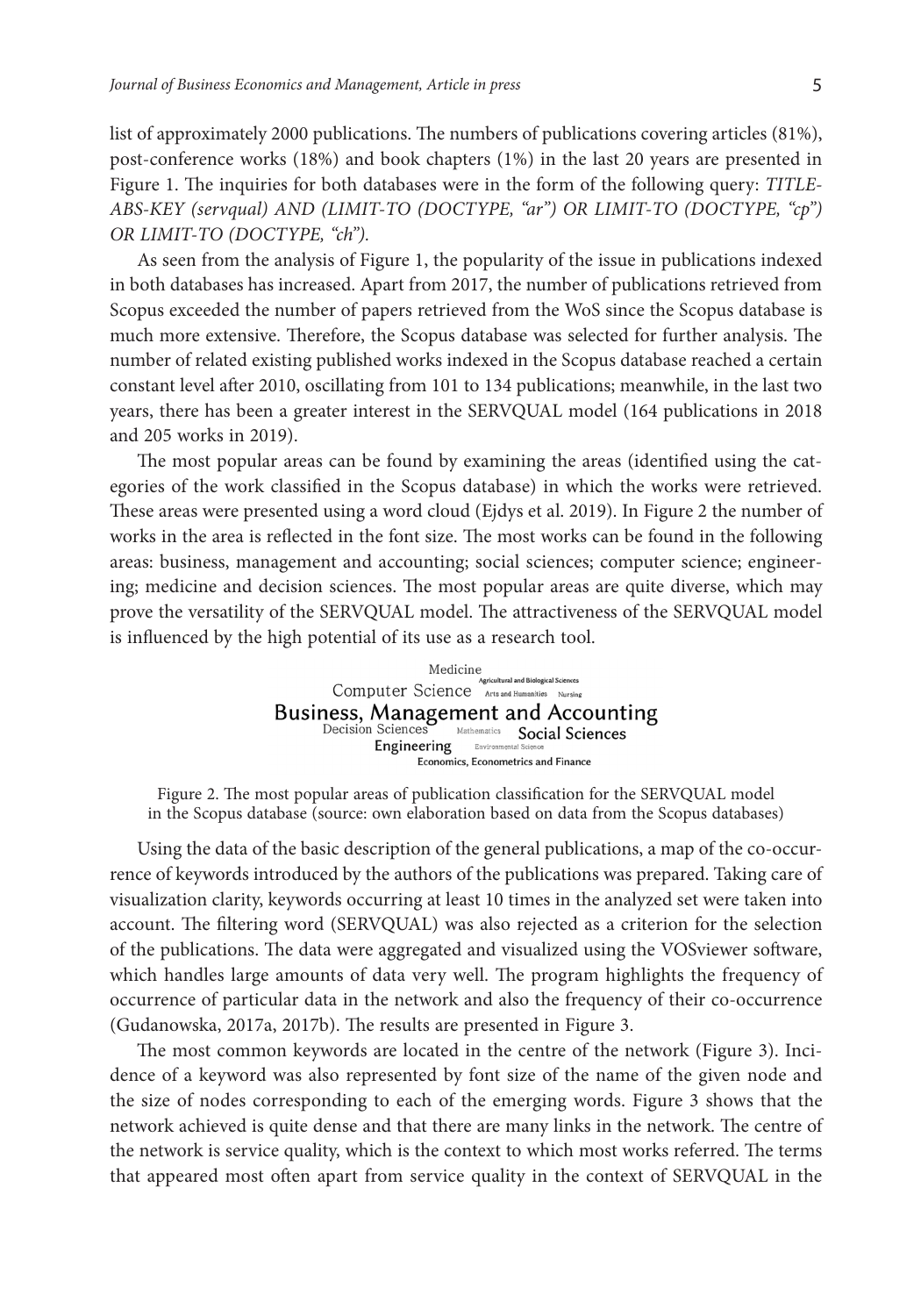list of approximately 2000 publications. The numbers of publications covering articles (81%), post-conference works (18%) and book chapters (1%) in the last 20 years are presented in Figure 1. The inquiries for both databases were in the form of the following query: *TITLE-ABS-KEY (servqual) AND (LIMIT-TO (DOCTYPE, "ar") OR LIMIT-TO (DOCTYPE, "cp") OR LIMIT-TO (DOCTYPE, "ch").*

As seen from the analysis of Figure 1, the popularity of the issue in publications indexed in both databases has increased. Apart from 2017, the number of publications retrieved from Scopus exceeded the number of papers retrieved from the WoS since the Scopus database is much more extensive. Therefore, the Scopus database was selected for further analysis. The number of related existing published works indexed in the Scopus database reached a certain constant level after 2010, oscillating from 101 to 134 publications; meanwhile, in the last two years, there has been a greater interest in the SERVQUAL model (164 publications in 2018 and 205 works in 2019).

The most popular areas can be found by examining the areas (identified using the categories of the work classified in the Scopus database) in which the works were retrieved. These areas were presented using a word cloud (Ejdys et al. 2019). In Figure 2 the number of works in the area is reflected in the font size. The most works can be found in the following areas: business, management and accounting; social sciences; computer science; engineering; medicine and decision sciences. The most popular areas are quite diverse, which may prove the versatility of the SERVQUAL model. The attractiveness of the SERVQUAL model is influenced by the high potential of its use as a research tool.

> Medicine Medicine<br>
> Agricultural and Biological Sciences<br>
> Computer Science Arts and Humanities Nursing Business, Management and Accounting Decision Sciences<br>
> Engineering Environmental Sciences<br>
> Engineering Environmental Sciences Economics, Econometrics and Finance

Figure 2. The most popular areas of publication classification for the SERVQUAL model in the Scopus database (source: own elaboration based on data from the Scopus databases)

Using the data of the basic description of the general publications, a map of the co-occurrence of keywords introduced by the authors of the publications was prepared. Taking care of visualization clarity, keywords occurring at least 10 times in the analyzed set were taken into account. The filtering word (SERVQUAL) was also rejected as a criterion for the selection of the publications. The data were aggregated and visualized using the VOSviewer software, which handles large amounts of data very well. The program highlights the frequency of occurrence of particular data in the network and also the frequency of their co-occurrence (Gudanowska, 2017a, 2017b). The results are presented in Figure 3.

The most common keywords are located in the centre of the network (Figure 3). Incidence of a keyword was also represented by font size of the name of the given node and the size of nodes corresponding to each of the emerging words. Figure 3 shows that the network achieved is quite dense and that there are many links in the network. The centre of the network is service quality, which is the context to which most works referred. The terms that appeared most often apart from service quality in the context of SERVQUAL in the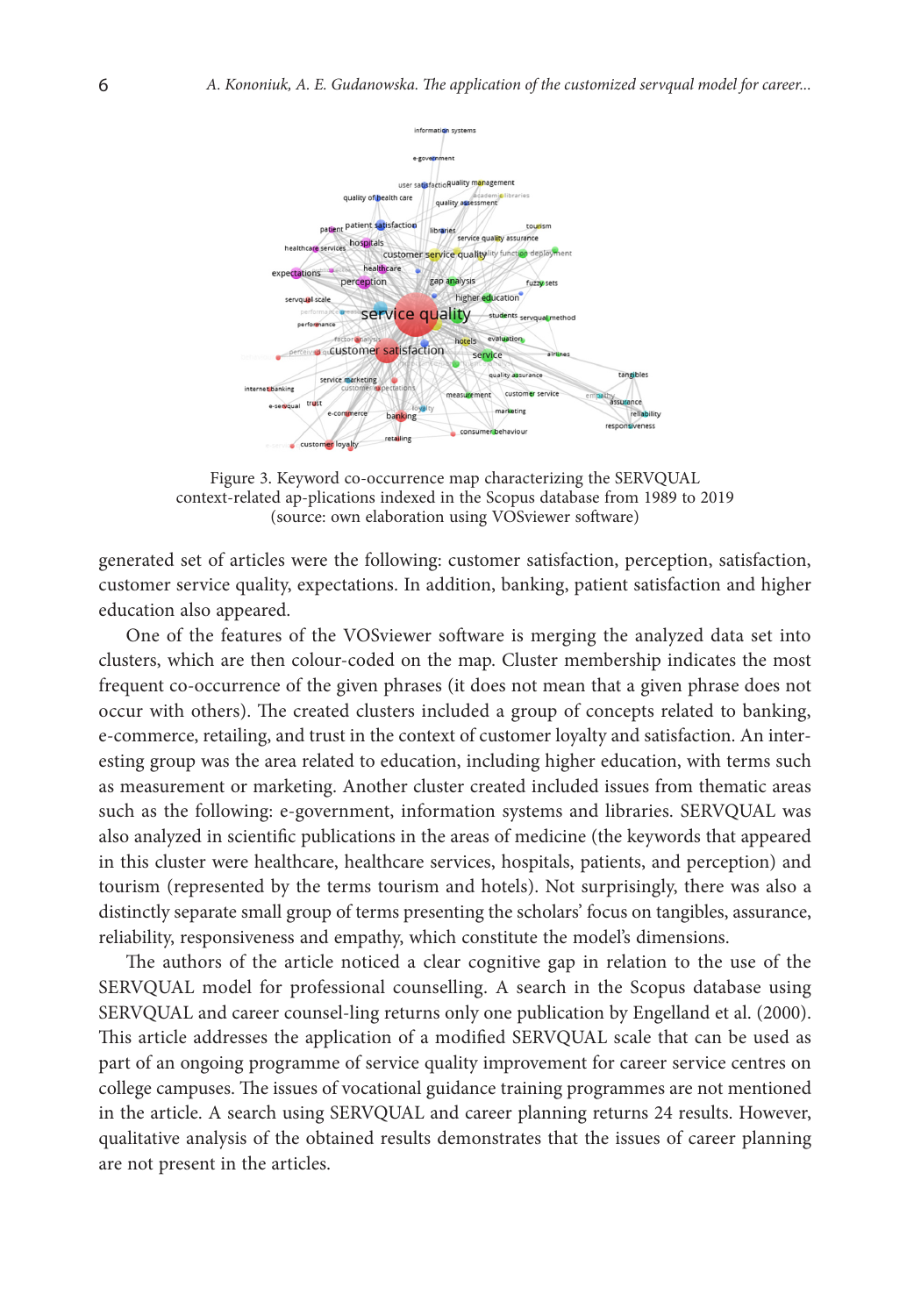

Figure 3. Keyword co-occurrence map characterizing the SERVQUAL context-related ap-plications indexed in the Scopus database from 1989 to 2019 (source: own elaboration using VOSviewer software)

generated set of articles were the following: customer satisfaction, perception, satisfaction, customer service quality, expectations. In addition, banking, patient satisfaction and higher education also appeared.

One of the features of the VOSviewer software is merging the analyzed data set into clusters, which are then colour-coded on the map. Cluster membership indicates the most frequent co-occurrence of the given phrases (it does not mean that a given phrase does not occur with others). The created clusters included a group of concepts related to banking, e-commerce, retailing, and trust in the context of customer loyalty and satisfaction. An interesting group was the area related to education, including higher education, with terms such as measurement or marketing. Another cluster created included issues from thematic areas such as the following: e-government, information systems and libraries. SERVQUAL was also analyzed in scientific publications in the areas of medicine (the keywords that appeared in this cluster were healthcare, healthcare services, hospitals, patients, and perception) and tourism (represented by the terms tourism and hotels). Not surprisingly, there was also a distinctly separate small group of terms presenting the scholars' focus on tangibles, assurance, reliability, responsiveness and empathy, which constitute the model's dimensions.

The authors of the article noticed a clear cognitive gap in relation to the use of the SERVQUAL model for professional counselling. A search in the Scopus database using SERVQUAL and career counsel-ling returns only one publication by Engelland et al. (2000). This article addresses the application of a modified SERVQUAL scale that can be used as part of an ongoing programme of service quality improvement for career service centres on college campuses. The issues of vocational guidance training programmes are not mentioned in the article. A search using SERVQUAL and career planning returns 24 results. However, qualitative analysis of the obtained results demonstrates that the issues of career planning are not present in the articles.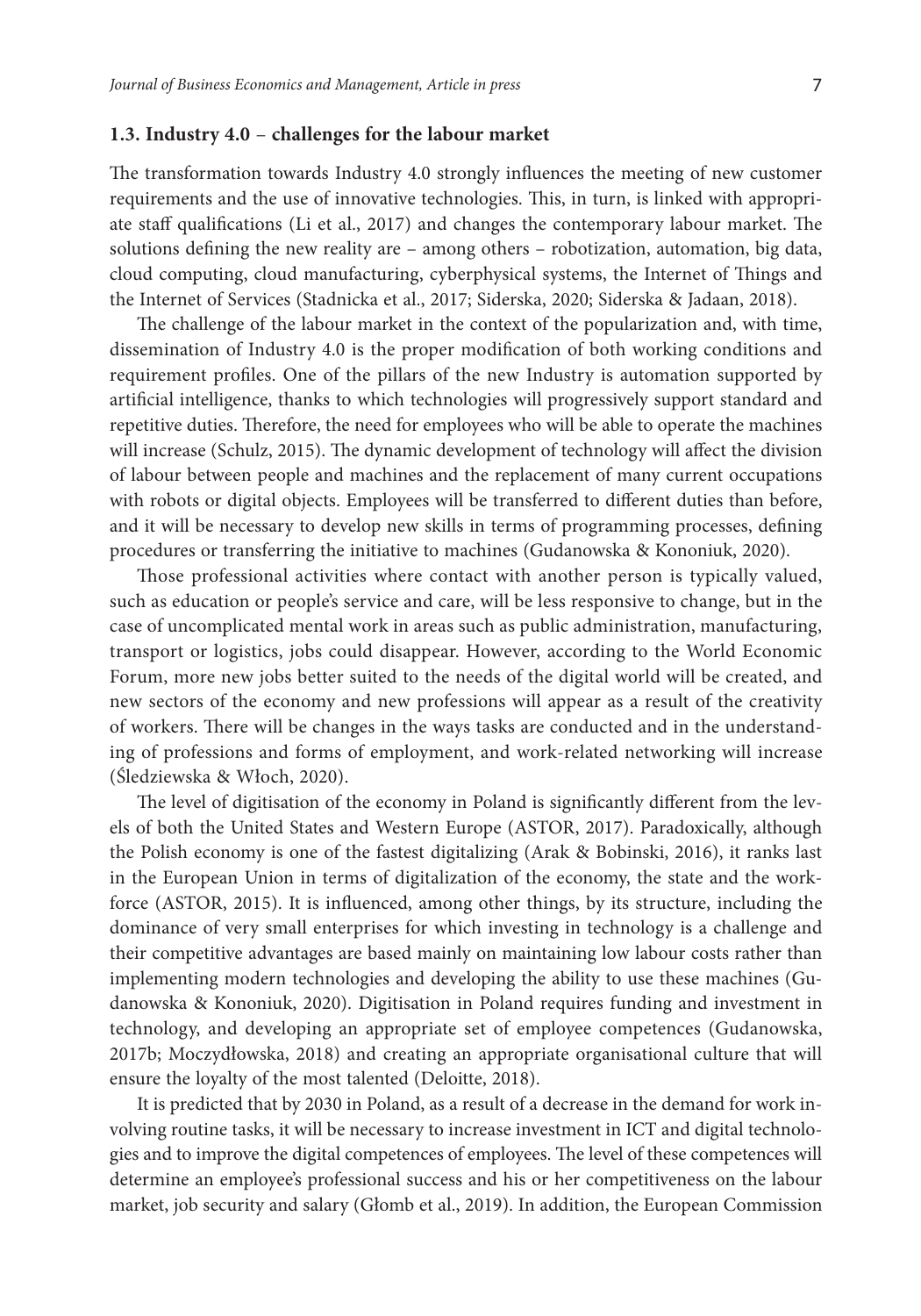#### **1.3. Industry 4.0** – **challenges for the labour market**

The transformation towards Industry 4.0 strongly influences the meeting of new customer requirements and the use of innovative technologies. This, in turn, is linked with appropriate staff qualifications (Li et al., 2017) and changes the contemporary labour market. The solutions defining the new reality are – among others – robotization, automation, big data, cloud computing, cloud manufacturing, cyberphysical systems, the Internet of Things and the Internet of Services (Stadnicka et al., 2017; Siderska, 2020; Siderska & Jadaan, 2018).

The challenge of the labour market in the context of the popularization and, with time, dissemination of Industry 4.0 is the proper modification of both working conditions and requirement profiles. One of the pillars of the new Industry is automation supported by artificial intelligence, thanks to which technologies will progressively support standard and repetitive duties. Therefore, the need for employees who will be able to operate the machines will increase (Schulz, 2015). The dynamic development of technology will affect the division of labour between people and machines and the replacement of many current occupations with robots or digital objects. Employees will be transferred to different duties than before, and it will be necessary to develop new skills in terms of programming processes, defining procedures or transferring the initiative to machines (Gudanowska & Kononiuk, 2020).

Those professional activities where contact with another person is typically valued, such as education or people's service and care, will be less responsive to change, but in the case of uncomplicated mental work in areas such as public administration, manufacturing, transport or logistics, jobs could disappear. However, according to the World Economic Forum, more new jobs better suited to the needs of the digital world will be created, and new sectors of the economy and new professions will appear as a result of the creativity of workers. There will be changes in the ways tasks are conducted and in the understanding of professions and forms of employment, and work-related networking will increase (Śledziewska & Włoch, 2020).

The level of digitisation of the economy in Poland is significantly different from the levels of both the United States and Western Europe (ASTOR, 2017). Paradoxically, although the Polish economy is one of the fastest digitalizing (Arak & Bobinski, 2016), it ranks last in the European Union in terms of digitalization of the economy, the state and the workforce (ASTOR, 2015). It is influenced, among other things, by its structure, including the dominance of very small enterprises for which investing in technology is a challenge and their competitive advantages are based mainly on maintaining low labour costs rather than implementing modern technologies and developing the ability to use these machines (Gudanowska & Kononiuk, 2020). Digitisation in Poland requires funding and investment in technology, and developing an appropriate set of employee competences (Gudanowska, 2017b; Moczydłowska, 2018) and creating an appropriate organisational culture that will ensure the loyalty of the most talented (Deloitte, 2018).

It is predicted that by 2030 in Poland, as a result of a decrease in the demand for work involving routine tasks, it will be necessary to increase investment in ICT and digital technologies and to improve the digital competences of employees. The level of these competences will determine an employee's professional success and his or her competitiveness on the labour market, job security and salary (Głomb et al., 2019). In addition, the European Commission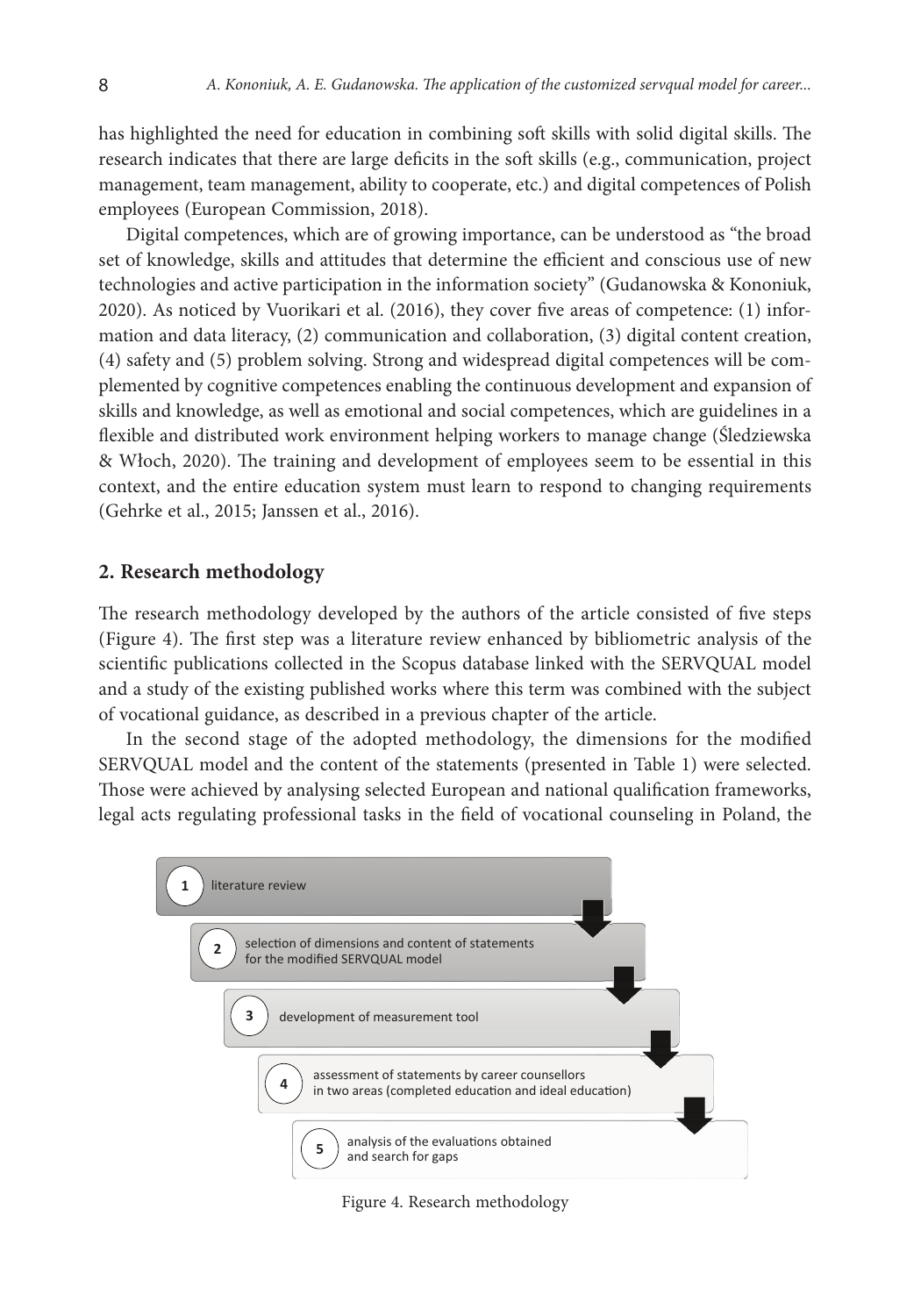has highlighted the need for education in combining soft skills with solid digital skills. The research indicates that there are large deficits in the soft skills (e.g., communication, project management, team management, ability to cooperate, etc.) and digital competences of Polish employees (European Commission, 2018).

Digital competences, which are of growing importance, can be understood as "the broad set of knowledge, skills and attitudes that determine the efficient and conscious use of new technologies and active participation in the information society" (Gudanowska & Kononiuk, 2020). As noticed by Vuorikari et al. (2016), they cover five areas of competence: (1) information and data literacy, (2) communication and collaboration, (3) digital content creation, (4) safety and (5) problem solving. Strong and widespread digital competences will be complemented by cognitive competences enabling the continuous development and expansion of skills and knowledge, as well as emotional and social competences, which are guidelines in a flexible and distributed work environment helping workers to manage change (Śledziewska & Włoch, 2020). The training and development of employees seem to be essential in this context, and the entire education system must learn to respond to changing requirements (Gehrke et al., 2015; Janssen et al., 2016).

## **2. Research methodology**

The research methodology developed by the authors of the article consisted of five steps (Figure 4). The first step was a literature review enhanced by bibliometric analysis of the scientific publications collected in the Scopus database linked with the SERVQUAL model and a study of the existing published works where this term was combined with the subject of vocational guidance, as described in a previous chapter of the article.

In the second stage of the adopted methodology, the dimensions for the modified SERVQUAL model and the content of the statements (presented in Table 1) were selected. Those were achieved by analysing selected European and national qualification frameworks, legal acts regulating professional tasks in the field of vocational counseling in Poland, the



Figure 4. Research methodology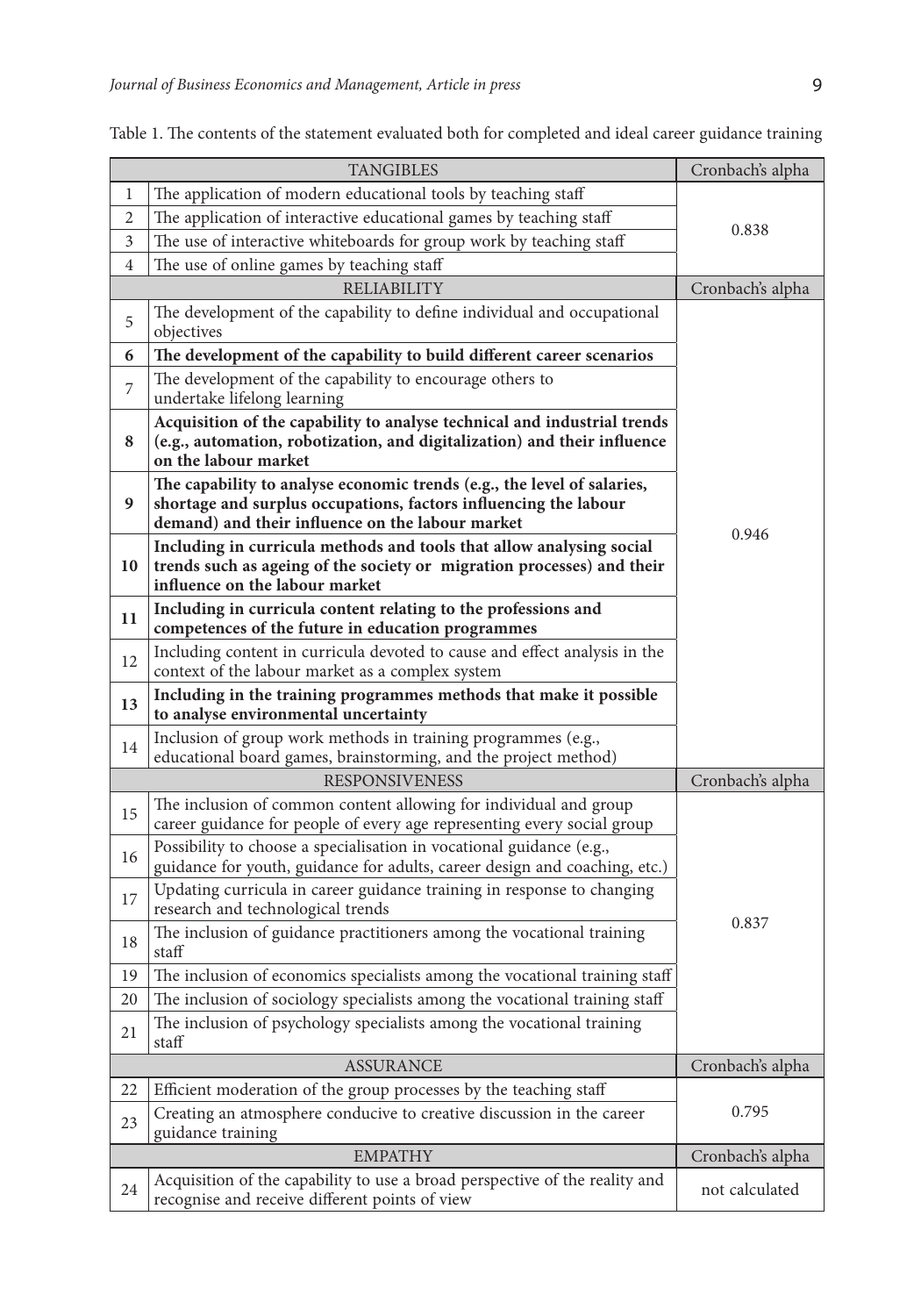| <b>TANGIBLES</b>      |                                                                                                                                                                                                 | Cronbach's alpha |
|-----------------------|-------------------------------------------------------------------------------------------------------------------------------------------------------------------------------------------------|------------------|
| 1                     | The application of modern educational tools by teaching staff                                                                                                                                   |                  |
| 2                     | The application of interactive educational games by teaching staff                                                                                                                              | 0.838            |
| 3                     | The use of interactive whiteboards for group work by teaching staff                                                                                                                             |                  |
| 4                     | The use of online games by teaching staff                                                                                                                                                       |                  |
|                       | RELIABILITY                                                                                                                                                                                     | Cronbach's alpha |
| 5                     | The development of the capability to define individual and occupational<br>objectives                                                                                                           |                  |
| 6                     | The development of the capability to build different career scenarios                                                                                                                           |                  |
| 7                     | The development of the capability to encourage others to<br>undertake lifelong learning                                                                                                         |                  |
| 8                     | Acquisition of the capability to analyse technical and industrial trends<br>(e.g., automation, robotization, and digitalization) and their influence<br>on the labour market                    |                  |
| 9                     | The capability to analyse economic trends (e.g., the level of salaries,<br>shortage and surplus occupations, factors influencing the labour<br>demand) and their influence on the labour market |                  |
| 10                    | Including in curricula methods and tools that allow analysing social<br>trends such as ageing of the society or migration processes) and their<br>influence on the labour market                | 0.946            |
| 11                    | Including in curricula content relating to the professions and<br>competences of the future in education programmes                                                                             |                  |
| 12                    | Including content in curricula devoted to cause and effect analysis in the<br>context of the labour market as a complex system                                                                  |                  |
| 13                    | Including in the training programmes methods that make it possible<br>to analyse environmental uncertainty                                                                                      |                  |
| 14                    | Inclusion of group work methods in training programmes (e.g.,<br>educational board games, brainstorming, and the project method)                                                                |                  |
| <b>RESPONSIVENESS</b> |                                                                                                                                                                                                 | Cronbach's alpha |
| 15                    | The inclusion of common content allowing for individual and group<br>career guidance for people of every age representing every social group                                                    |                  |
| 16                    | Possibility to choose a specialisation in vocational guidance (e.g.,<br>guidance for youth, guidance for adults, career design and coaching, etc.)                                              |                  |
| 17                    | Updating curricula in career guidance training in response to changing<br>research and technological trends                                                                                     |                  |
| 18                    | The inclusion of guidance practitioners among the vocational training<br>staff                                                                                                                  | 0.837            |
| 19                    | The inclusion of economics specialists among the vocational training staff                                                                                                                      |                  |
| 20                    | The inclusion of sociology specialists among the vocational training staff                                                                                                                      |                  |
| 21                    | The inclusion of psychology specialists among the vocational training<br>staff                                                                                                                  |                  |
| <b>ASSURANCE</b>      |                                                                                                                                                                                                 | Cronbach's alpha |
| 22                    | Efficient moderation of the group processes by the teaching staff                                                                                                                               |                  |
| 23                    | Creating an atmosphere conducive to creative discussion in the career<br>guidance training                                                                                                      | 0.795            |
|                       | <b>EMPATHY</b>                                                                                                                                                                                  | Cronbach's alpha |
| 24                    | Acquisition of the capability to use a broad perspective of the reality and<br>recognise and receive different points of view                                                                   | not calculated   |

Table 1. The contents of the statement evaluated both for completed and ideal career guidance training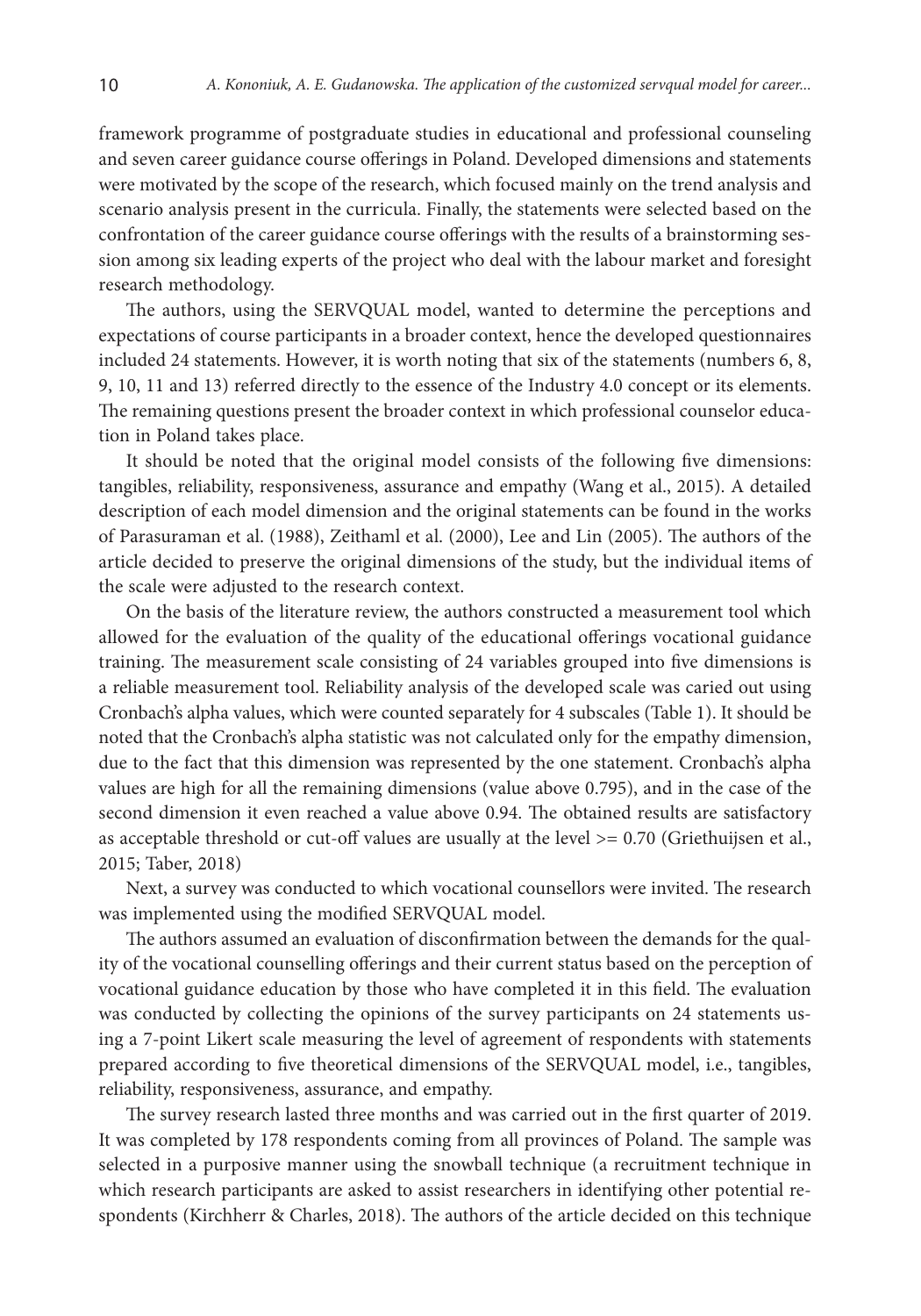framework programme of postgraduate studies in educational and professional counseling and seven career guidance course offerings in Poland. Developed dimensions and statements were motivated by the scope of the research, which focused mainly on the trend analysis and scenario analysis present in the curricula. Finally, the statements were selected based on the confrontation of the career guidance course offerings with the results of a brainstorming session among six leading experts of the project who deal with the labour market and foresight research methodology.

The authors, using the SERVQUAL model, wanted to determine the perceptions and expectations of course participants in a broader context, hence the developed questionnaires included 24 statements. However, it is worth noting that six of the statements (numbers 6, 8, 9, 10, 11 and 13) referred directly to the essence of the Industry 4.0 concept or its elements. The remaining questions present the broader context in which professional counselor education in Poland takes place.

It should be noted that the original model consists of the following five dimensions: tangibles, reliability, responsiveness, assurance and empathy (Wang et al., 2015). A detailed description of each model dimension and the original statements can be found in the works of Parasuraman et al. (1988), Zeithaml et al. (2000), Lee and Lin (2005). The authors of the article decided to preserve the original dimensions of the study, but the individual items of the scale were adjusted to the research context.

On the basis of the literature review, the authors constructed a measurement tool which allowed for the evaluation of the quality of the educational offerings vocational guidance training. The measurement scale consisting of 24 variables grouped into five dimensions is a reliable measurement tool. Reliability analysis of the developed scale was caried out using Cronbach's alpha values, which were counted separately for 4 subscales (Table 1). It should be noted that the Cronbach's alpha statistic was not calculated only for the empathy dimension, due to the fact that this dimension was represented by the one statement. Cronbach's alpha values are high for all the remaining dimensions (value above 0.795), and in the case of the second dimension it even reached a value above 0.94. The obtained results are satisfactory as acceptable threshold or cut-off values are usually at the level >= 0.70 (Griethuijsen et al., 2015; Taber, 2018)

Next, a survey was conducted to which vocational counsellors were invited. The research was implemented using the modified SERVQUAL model.

The authors assumed an evaluation of disconfirmation between the demands for the quality of the vocational counselling offerings and their current status based on the perception of vocational guidance education by those who have completed it in this field. The evaluation was conducted by collecting the opinions of the survey participants on 24 statements using a 7-point Likert scale measuring the level of agreement of respondents with statements prepared according to five theoretical dimensions of the SERVQUAL model, i.e., tangibles, reliability, responsiveness, assurance, and empathy.

The survey research lasted three months and was carried out in the first quarter of 2019. It was completed by 178 respondents coming from all provinces of Poland. The sample was selected in a purposive manner using the snowball technique (a recruitment technique in which research participants are asked to assist researchers in identifying other potential respondents (Kirchherr & Charles, 2018). The authors of the article decided on this technique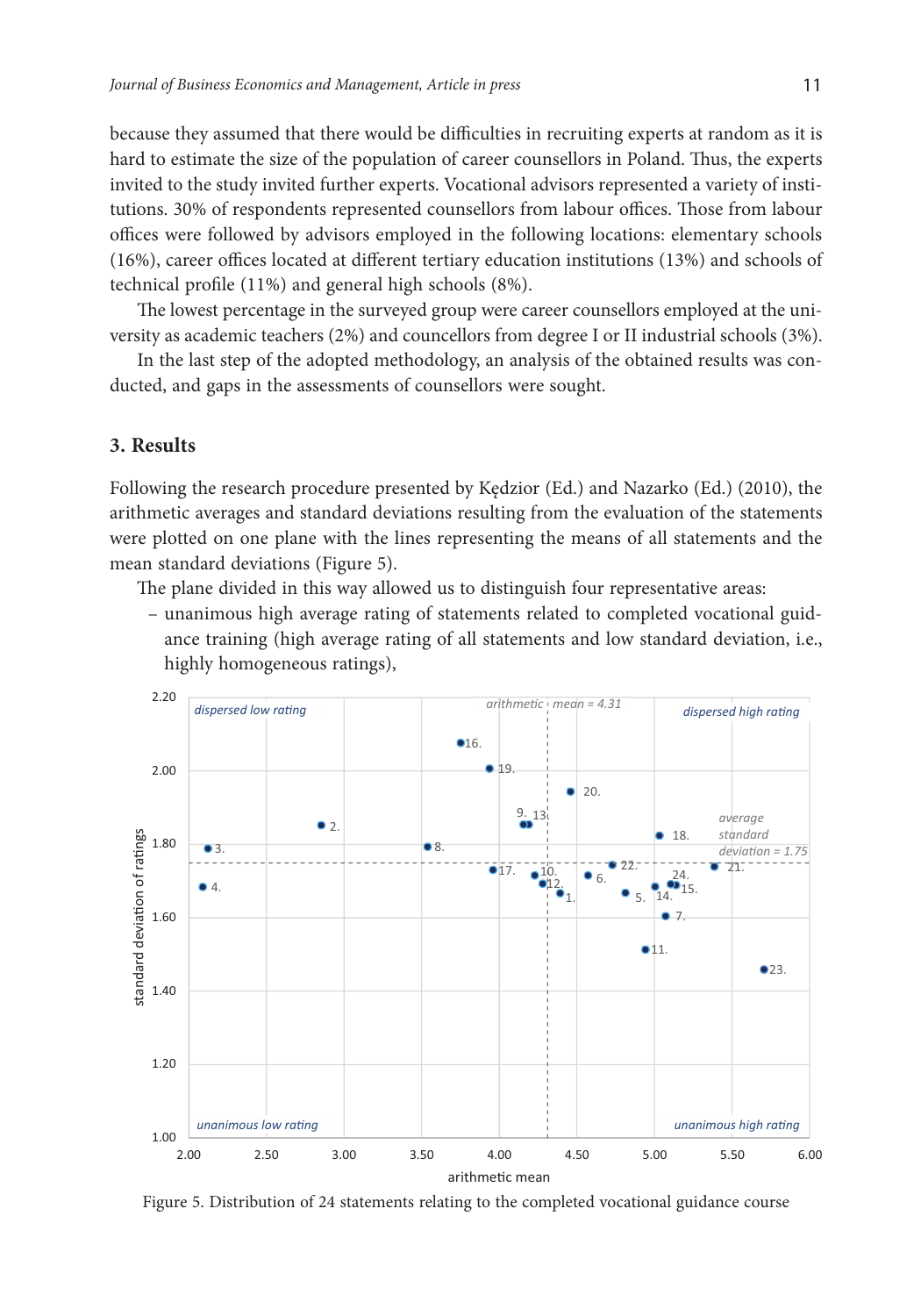because they assumed that there would be difficulties in recruiting experts at random as it is hard to estimate the size of the population of career counsellors in Poland. Thus, the experts invited to the study invited further experts. Vocational advisors represented a variety of institutions. 30% of respondents represented counsellors from labour offices. Those from labour offices were followed by advisors employed in the following locations: elementary schools (16%), career offices located at different tertiary education institutions (13%) and schools of technical profile (11%) and general high schools (8%).

The lowest percentage in the surveyed group were career counsellors employed at the university as academic teachers (2%) and councellors from degree I or II industrial schools (3%).

In the last step of the adopted methodology, an analysis of the obtained results was conducted, and gaps in the assessments of counsellors were sought.

## **3. Results**

Following the research procedure presented by Kędzior (Ed.) and Nazarko (Ed.) (2010), the arithmetic averages and standard deviations resulting from the evaluation of the statements were plotted on one plane with the lines representing the means of all statements and the mean standard deviations (Figure 5).

The plane divided in this way allowed us to distinguish four representative areas:

– unanimous high average rating of statements related to completed vocational guidance training (high average rating of all statements and low standard deviation, i.e., highly homogeneous ratings),



Figure 5. Distribution of 24 statements relating to the completed vocational guidance course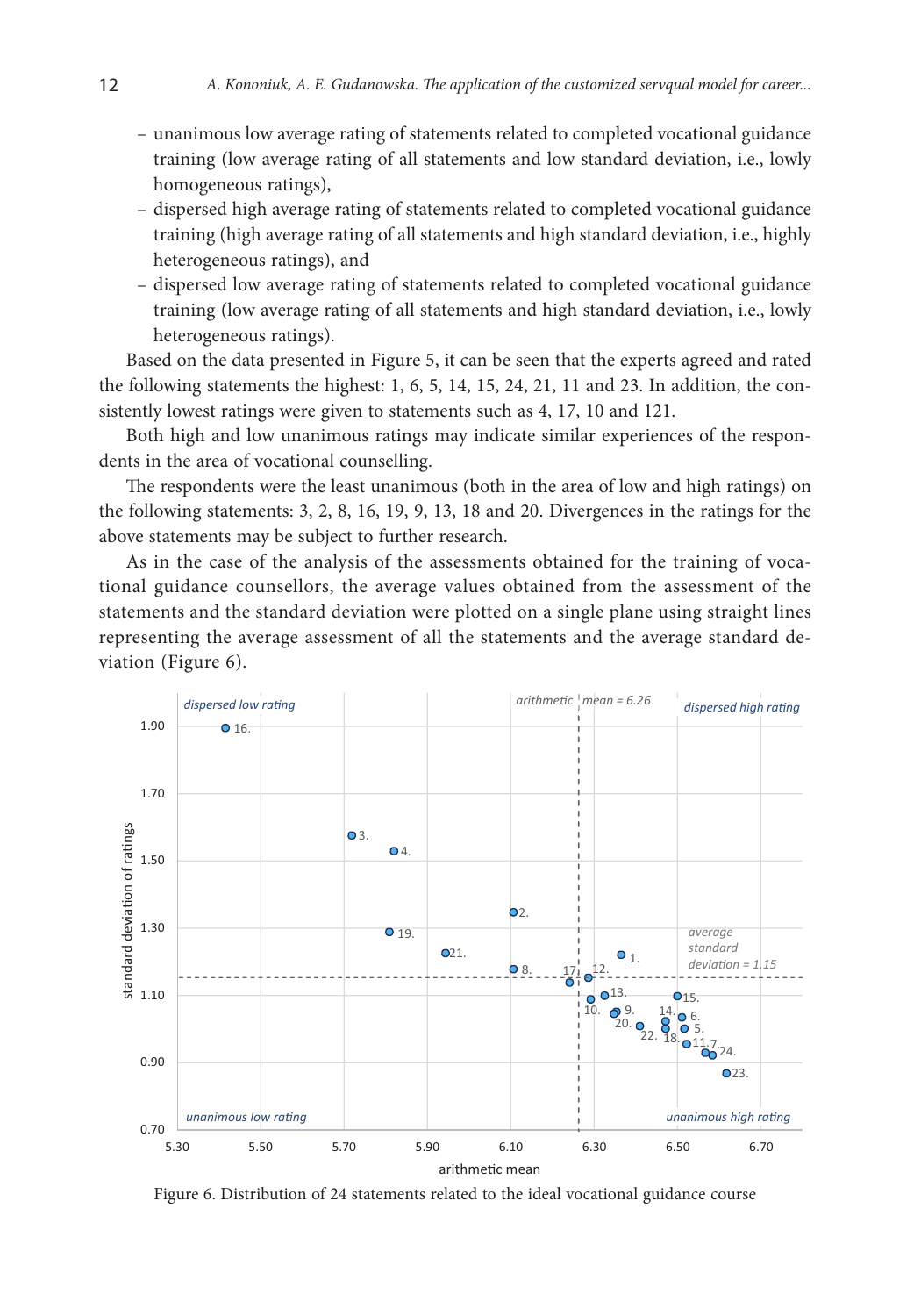- unanimous low average rating of statements related to completed vocational guidance training (low average rating of all statements and low standard deviation, i.e., lowly homogeneous ratings),
- dispersed high average rating of statements related to completed vocational guidance training (high average rating of all statements and high standard deviation, i.e., highly heterogeneous ratings), and
- dispersed low average rating of statements related to completed vocational guidance training (low average rating of all statements and high standard deviation, i.e., lowly heterogeneous ratings).

Based on the data presented in Figure 5, it can be seen that the experts agreed and rated the following statements the highest: 1, 6, 5, 14, 15, 24, 21, 11 and 23. In addition, the consistently lowest ratings were given to statements such as 4, 17, 10 and 121.

Both high and low unanimous ratings may indicate similar experiences of the respondents in the area of vocational counselling.

The respondents were the least unanimous (both in the area of low and high ratings) on the following statements: 3, 2, 8, 16, 19, 9, 13, 18 and 20. Divergences in the ratings for the above statements may be subject to further research.

As in the case of the analysis of the assessments obtained for the training of vocational guidance counsellors, the average values obtained from the assessment of the statements and the standard deviation were plotted on a single plane using straight lines representing the average assessment of all the statements and the average standard deviation (Figure 6).



Figure 6. Distribution of 24 statements related to the ideal vocational guidance course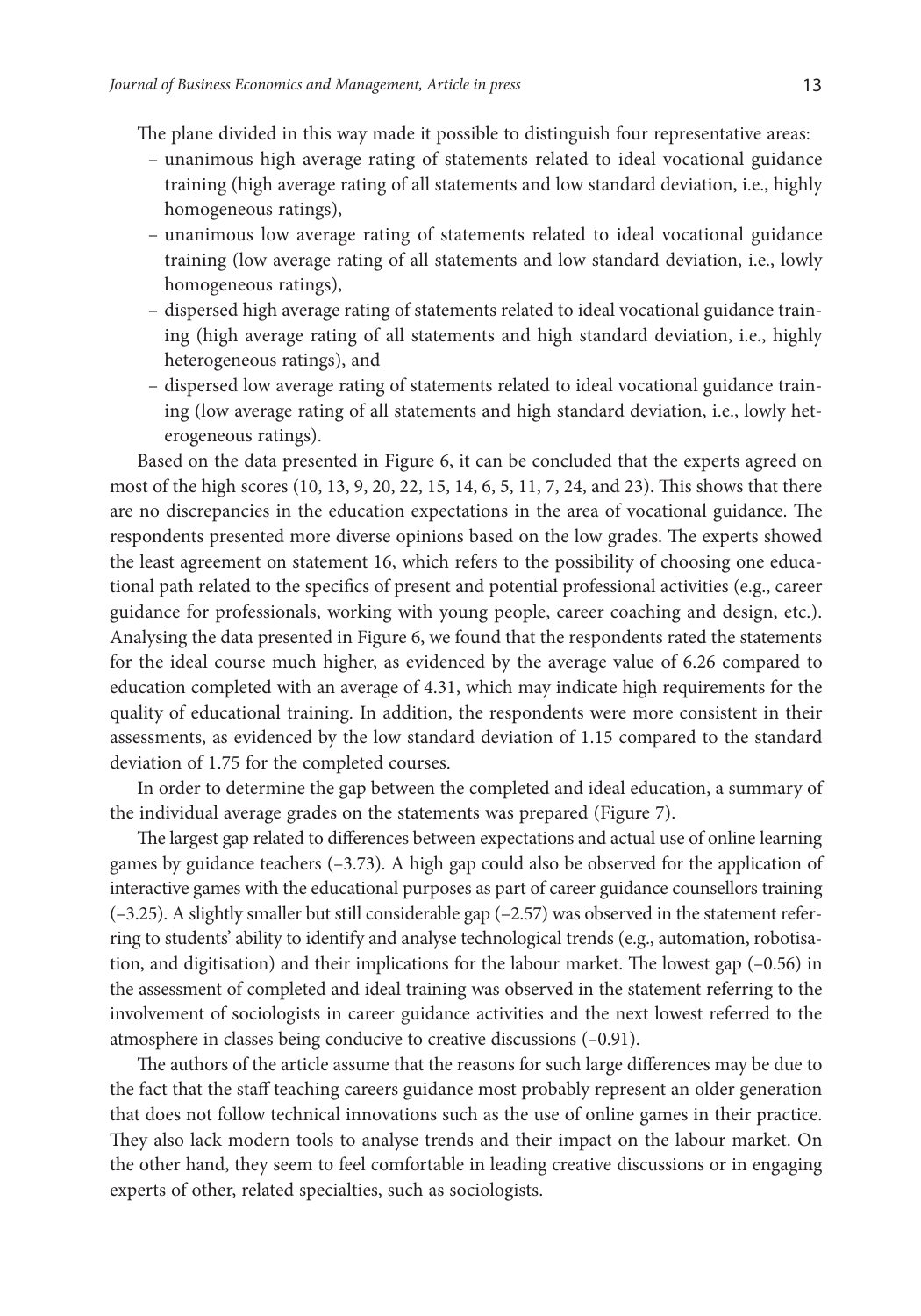The plane divided in this way made it possible to distinguish four representative areas:

- unanimous high average rating of statements related to ideal vocational guidance training (high average rating of all statements and low standard deviation, i.e., highly homogeneous ratings),
- unanimous low average rating of statements related to ideal vocational guidance training (low average rating of all statements and low standard deviation, i.e., lowly homogeneous ratings),
- dispersed high average rating of statements related to ideal vocational guidance training (high average rating of all statements and high standard deviation, i.e., highly heterogeneous ratings), and
- dispersed low average rating of statements related to ideal vocational guidance training (low average rating of all statements and high standard deviation, i.e., lowly heterogeneous ratings).

Based on the data presented in Figure 6, it can be concluded that the experts agreed on most of the high scores (10, 13, 9, 20, 22, 15, 14, 6, 5, 11, 7, 24, and 23). This shows that there are no discrepancies in the education expectations in the area of vocational guidance. The respondents presented more diverse opinions based on the low grades. The experts showed the least agreement on statement 16, which refers to the possibility of choosing one educational path related to the specifics of present and potential professional activities (e.g., career guidance for professionals, working with young people, career coaching and design, etc.). Analysing the data presented in Figure 6, we found that the respondents rated the statements for the ideal course much higher, as evidenced by the average value of 6.26 compared to education completed with an average of 4.31, which may indicate high requirements for the quality of educational training. In addition, the respondents were more consistent in their assessments, as evidenced by the low standard deviation of 1.15 compared to the standard deviation of 1.75 for the completed courses.

In order to determine the gap between the completed and ideal education, a summary of the individual average grades on the statements was prepared (Figure 7).

The largest gap related to differences between expectations and actual use of online learning games by guidance teachers (–3.73). A high gap could also be observed for the application of interactive games with the educational purposes as part of career guidance counsellors training (–3.25). A slightly smaller but still considerable gap (–2.57) was observed in the statement referring to students' ability to identify and analyse technological trends (e.g., automation, robotisation, and digitisation) and their implications for the labour market. The lowest gap (–0.56) in the assessment of completed and ideal training was observed in the statement referring to the involvement of sociologists in career guidance activities and the next lowest referred to the atmosphere in classes being conducive to creative discussions (–0.91).

The authors of the article assume that the reasons for such large differences may be due to the fact that the staff teaching careers guidance most probably represent an older generation that does not follow technical innovations such as the use of online games in their practice. They also lack modern tools to analyse trends and their impact on the labour market. On the other hand, they seem to feel comfortable in leading creative discussions or in engaging experts of other, related specialties, such as sociologists.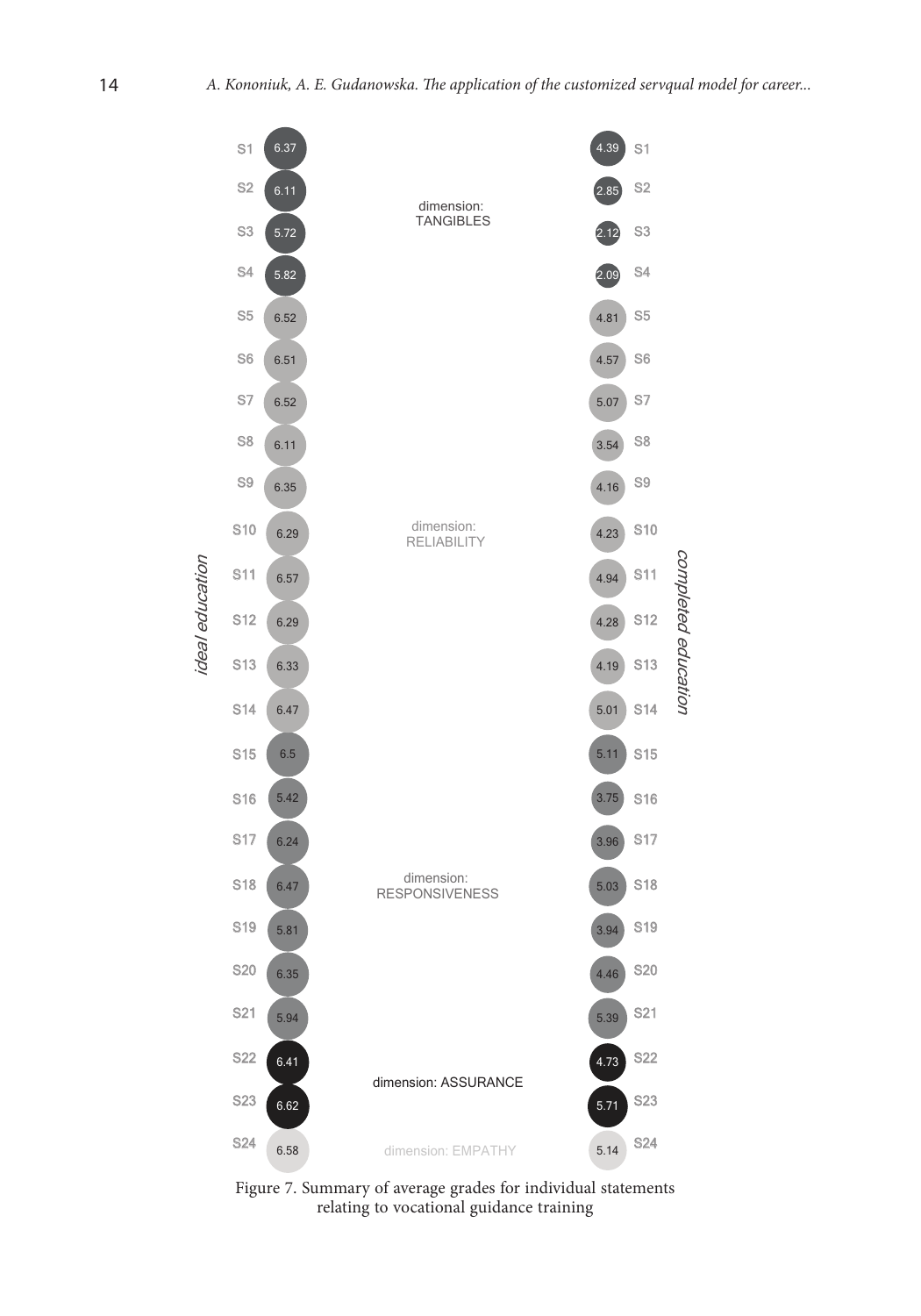

Figure 7. Summary of average grades for individual statements relating to vocational guidance training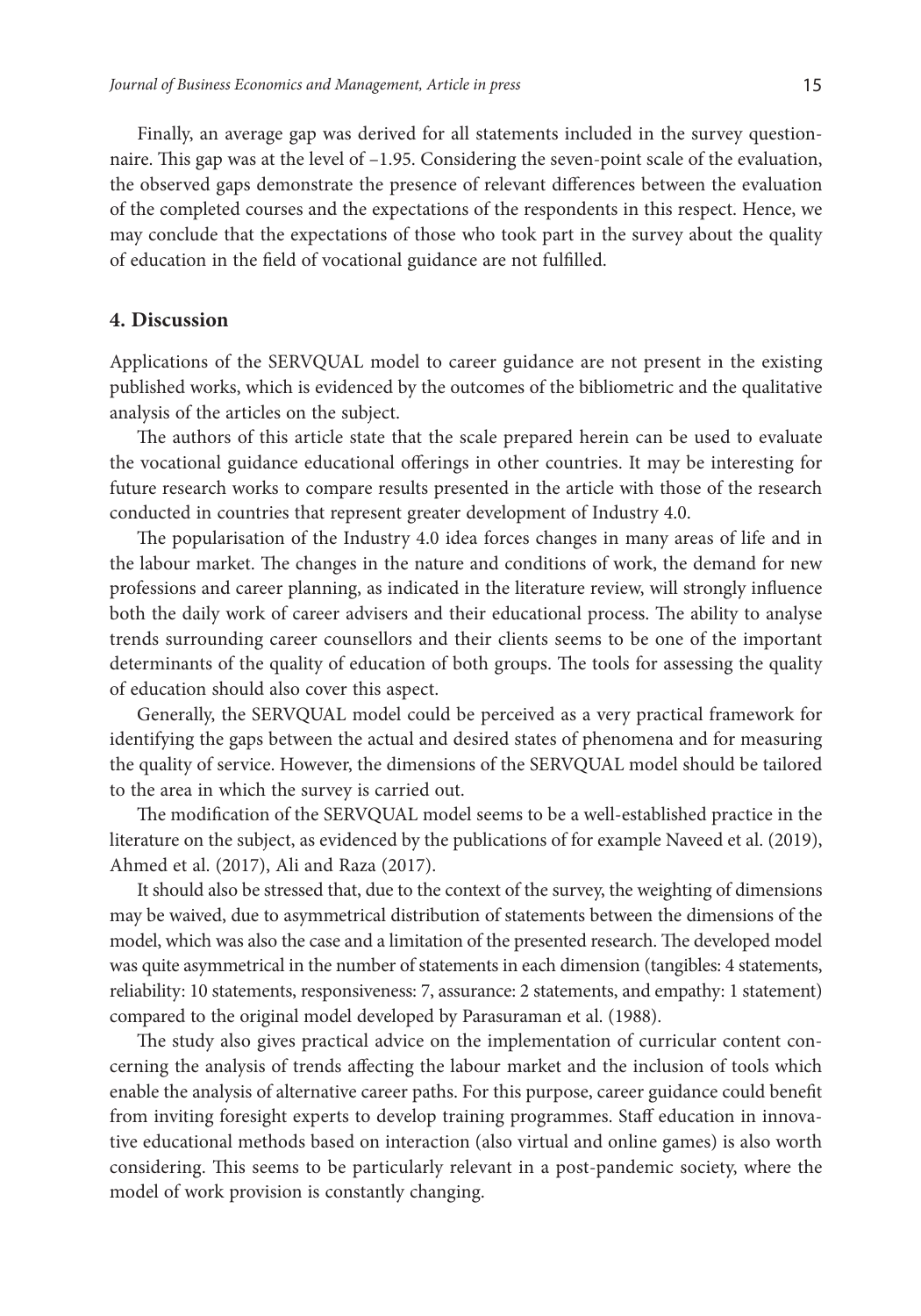Finally, an average gap was derived for all statements included in the survey questionnaire. This gap was at the level of –1.95. Considering the seven-point scale of the evaluation, the observed gaps demonstrate the presence of relevant differences between the evaluation of the completed courses and the expectations of the respondents in this respect. Hence, we may conclude that the expectations of those who took part in the survey about the quality of education in the field of vocational guidance are not fulfilled.

#### **4. Discussion**

Applications of the SERVQUAL model to career guidance are not present in the existing published works, which is evidenced by the outcomes of the bibliometric and the qualitative analysis of the articles on the subject.

The authors of this article state that the scale prepared herein can be used to evaluate the vocational guidance educational offerings in other countries. It may be interesting for future research works to compare results presented in the article with those of the research conducted in countries that represent greater development of Industry 4.0.

The popularisation of the Industry 4.0 idea forces changes in many areas of life and in the labour market. The changes in the nature and conditions of work, the demand for new professions and career planning, as indicated in the literature review, will strongly influence both the daily work of career advisers and their educational process. The ability to analyse trends surrounding career counsellors and their clients seems to be one of the important determinants of the quality of education of both groups. The tools for assessing the quality of education should also cover this aspect.

Generally, the SERVQUAL model could be perceived as a very practical framework for identifying the gaps between the actual and desired states of phenomena and for measuring the quality of service. However, the dimensions of the SERVQUAL model should be tailored to the area in which the survey is carried out.

The modification of the SERVQUAL model seems to be a well-established practice in the literature on the subject, as evidenced by the publications of for example Naveed et al. (2019), Ahmed et al. (2017), Ali and Raza (2017).

It should also be stressed that, due to the context of the survey, the weighting of dimensions may be waived, due to asymmetrical distribution of statements between the dimensions of the model, which was also the case and a limitation of the presented research. The developed model was quite asymmetrical in the number of statements in each dimension (tangibles: 4 statements, reliability: 10 statements, responsiveness: 7, assurance: 2 statements, and empathy: 1 statement) compared to the original model developed by Parasuraman et al. (1988).

The study also gives practical advice on the implementation of curricular content concerning the analysis of trends affecting the labour market and the inclusion of tools which enable the analysis of alternative career paths. For this purpose, career guidance could benefit from inviting foresight experts to develop training programmes. Staff education in innovative educational methods based on interaction (also virtual and online games) is also worth considering. This seems to be particularly relevant in a post-pandemic society, where the model of work provision is constantly changing.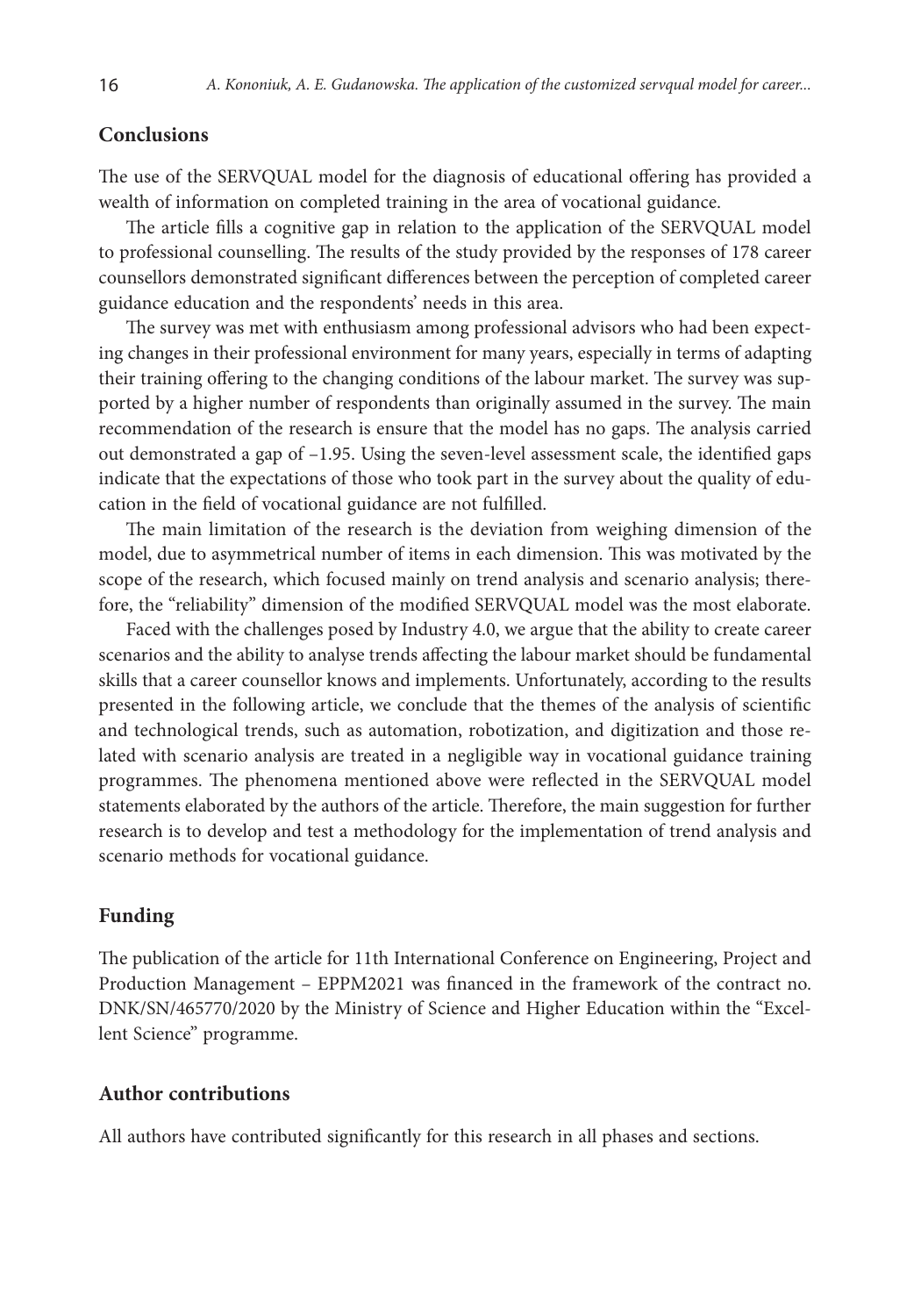# **Conclusions**

The use of the SERVQUAL model for the diagnosis of educational offering has provided a wealth of information on completed training in the area of vocational guidance.

The article fills a cognitive gap in relation to the application of the SERVQUAL model to professional counselling. The results of the study provided by the responses of 178 career counsellors demonstrated significant differences between the perception of completed career guidance education and the respondents' needs in this area.

The survey was met with enthusiasm among professional advisors who had been expecting changes in their professional environment for many years, especially in terms of adapting their training offering to the changing conditions of the labour market. The survey was supported by a higher number of respondents than originally assumed in the survey. The main recommendation of the research is ensure that the model has no gaps. The analysis carried out demonstrated a gap of –1.95. Using the seven-level assessment scale, the identified gaps indicate that the expectations of those who took part in the survey about the quality of education in the field of vocational guidance are not fulfilled.

The main limitation of the research is the deviation from weighing dimension of the model, due to asymmetrical number of items in each dimension. This was motivated by the scope of the research, which focused mainly on trend analysis and scenario analysis; therefore, the "reliability" dimension of the modified SERVQUAL model was the most elaborate.

Faced with the challenges posed by Industry 4.0, we argue that the ability to create career scenarios and the ability to analyse trends affecting the labour market should be fundamental skills that a career counsellor knows and implements. Unfortunately, according to the results presented in the following article, we conclude that the themes of the analysis of scientific and technological trends, such as automation, robotization, and digitization and those related with scenario analysis are treated in a negligible way in vocational guidance training programmes. The phenomena mentioned above were reflected in the SERVQUAL model statements elaborated by the authors of the article. Therefore, the main suggestion for further research is to develop and test a methodology for the implementation of trend analysis and scenario methods for vocational guidance.

### **Funding**

The publication of the article for 11th International Conference on Engineering, Project and Production Management – EPPM2021 was financed in the framework of the contract no. DNK/SN/465770/2020 by the Ministry of Science and Higher Education within the "Excellent Science" programme.

# **Author contributions**

All authors have contributed significantly for this research in all phases and sections.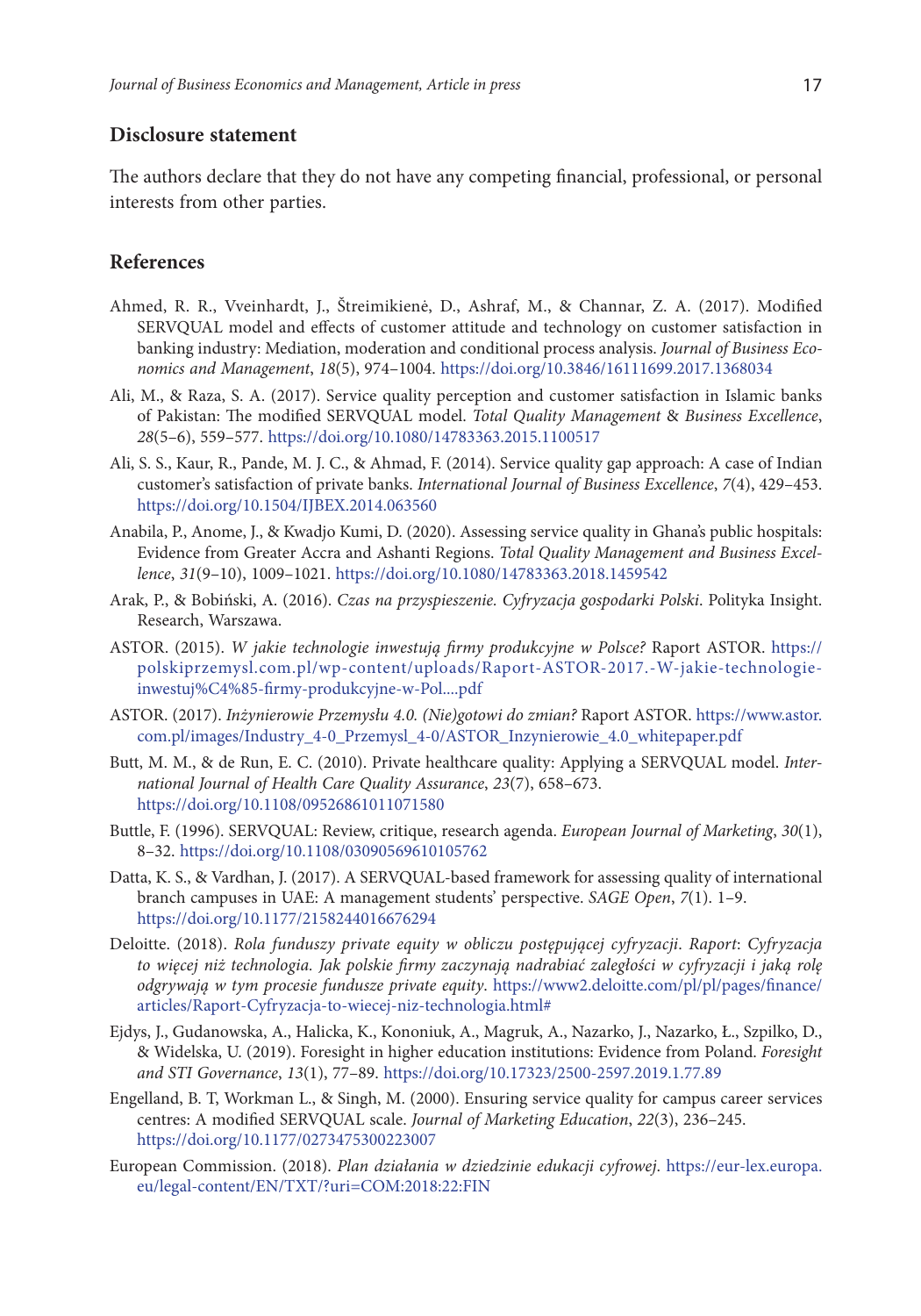## **Disclosure statement**

The authors declare that they do not have any competing financial, professional, or personal interests from other parties.

## **References**

- Ahmed, R. R., Vveinhardt, J., Štreimikienė, D., Ashraf, M., & Channar, Z. A. (2017). Modified SERVQUAL model and effects of customer attitude and technology on customer satisfaction in banking industry: Mediation, moderation and conditional process analysis. *Journal of Business Economics and Management*, *18*(5), 974–1004. <https://doi.org/10.3846/16111699.2017.1368034>
- [Ali, M.,](http://bazy.pb.edu.pl:2083/OutboundService.do?SID=C34EqWlYfljziXBrHqb&mode=rrcAuthorRecordService&action=go&product=WOS&daisIds=6348252) & [Raza, S. A. \(2017\).](http://bazy.pb.edu.pl:2083/OutboundService.do?SID=C34EqWlYfljziXBrHqb&mode=rrcAuthorRecordService&action=go&product=WOS&daisIds=516130) [Service quality perception and customer satisfaction in Islamic banks](http://bazy.pb.edu.pl:2083/full_record.do?product=WOS&search_mode=GeneralSearch&qid=23&SID=C34EqWlYfljziXBrHqb&page=1&doc=3) [of Pakistan: The modified SERVQUAL model.](http://bazy.pb.edu.pl:2083/full_record.do?product=WOS&search_mode=GeneralSearch&qid=23&SID=C34EqWlYfljziXBrHqb&page=1&doc=3) *[Total Quality Management](file:///D:/Audrone_Gurkliene/_Audrone/Zurnalai/JBEM/_2022/16643/javascript:;)* & *Business Excellence*, *28*(5–6), 559–577. <https://doi.org/10.1080/14783363.2015.1100517>
- Ali, S. S., Kaur, R., Pande, M. J. C., & Ahmad, F. (2014). Service quality gap approach: A case of Indian customer's satisfaction of private banks. *International Journal of Business Excellence*, *7*(4), 429–453. <https://doi.org/10.1504/IJBEX.2014.063560>
- Anabila, P., Anome, J., & Kwadjo Kumi, D. (2020). Assessing service quality in Ghana's public hospitals: Evidence from Greater Accra and Ashanti Regions. *Total Quality Management and Business Excellence*, *31*(9–10), 1009–1021. <https://doi.org/10.1080/14783363.2018.1459542>
- Arak, P., & Bobiński, A. (2016). *Czas na przyspieszenie. Cyfryzacja gospodarki Polski*. Polityka Insight. Research, Warszawa.
- ASTOR. (2015). *W jakie technologie inwestują firmy produkcyjne w Polsce?* Raport ASTOR. [https://](https://polskiprzemysl.com.pl/wp-content/uploads/Raport-ASTOR-2017.-W-jakie-technologie-inwestuj%C4%85-firmy-produkcyjne-w-Pol....pdf) [polskiprzemysl.com.pl/wp-content/uploads/Raport-ASTOR-2017.-W-jakie-technologie](https://polskiprzemysl.com.pl/wp-content/uploads/Raport-ASTOR-2017.-W-jakie-technologie-inwestuj%C4%85-firmy-produkcyjne-w-Pol....pdf)[inwestuj%C4%85-firmy-produkcyjne-w-Pol....pdf](https://polskiprzemysl.com.pl/wp-content/uploads/Raport-ASTOR-2017.-W-jakie-technologie-inwestuj%C4%85-firmy-produkcyjne-w-Pol....pdf)
- ASTOR. (2017). *Inżynierowie Przemysłu 4.0. (Nie)gotowi do zmian?* Raport ASTOR. [https://www.astor.](https://www.astor.com.pl/images/Industry_4-0_Przemysl_4-0/ASTOR_Inzynierowie_4.0_whitepaper.pdf) [com.pl/images/Industry\\_4-0\\_Przemysl\\_4-0/ASTOR\\_Inzynierowie\\_4.0\\_whitepaper.pdf](https://www.astor.com.pl/images/Industry_4-0_Przemysl_4-0/ASTOR_Inzynierowie_4.0_whitepaper.pdf)
- Butt, M. M., & de Run, E. C. (2010). Private healthcare quality: Applying a SERVQUAL model. *International Journal of Health Care Quality Assurance*, *23*(7), 658–673. <https://doi.org/10.1108/09526861011071580>
- Buttle, F. (1996). SERVQUAL: Review, critique, research agenda. *European Journal of Marketing*, *30*(1), 8–32. <https://doi.org/10.1108/03090569610105762>
- Datta, K. S., & Vardhan, J. (2017). A SERVQUAL-based framework for assessing quality of international branch campuses in UAE: A management students' perspective. *SAGE Open*, *7*(1). 1–9. <https://doi.org/10.1177/2158244016676294>
- Deloitte. (2018). *Rola funduszy private equity w obliczu postępującej cyfryzacji*. *Raport*: *Cyfryzacja to więcej niż technologia. Jak polskie firmy zaczynają nadrabiać zaległości w cyfryzacji i jaką rolę odgrywają w tym procesie fundusze private equity*. [https://www2.deloitte.com/pl/pl/pages/finance/](https://www2.deloitte.com/pl/pl/pages/finance/articles/Raport-Cyfryzacja-to-wiecej-niz-technologia.html) [articles/Raport-Cyfryzacja-to-wiecej-niz-technologia.html#](https://www2.deloitte.com/pl/pl/pages/finance/articles/Raport-Cyfryzacja-to-wiecej-niz-technologia.html)
- Ejdys, J., Gudanowska, A., Halicka, K., Kononiuk, A., Magruk, A., Nazarko, J., Nazarko, Ł., Szpilko, D., & Widelska, U. (2019). Foresight in higher education institutions: Evidence from Poland. *Foresight and STI Governance*, *13*(1), 77–89. <https://doi.org/10.17323/2500-2597.2019.1.77.89>
- Engelland, B. T, Workman L., & Singh, M. (2000). Ensuring service quality for campus career services centres: A modified SERVQUAL scale. *Journal of Marketing Education*, *22*(3), 236–245. <https://doi.org/10.1177/0273475300223007>
- European Commission. (2018). *Plan działania w dziedzinie edukacji cyfrowej*. [https://eur-lex.europa.](https://eur-lex.europa.eu/legal-content/EN/TXT/?uri=COM:2018:22:FIN) [eu/legal-content/EN/TXT/?uri=COM:2018:22:FIN](https://eur-lex.europa.eu/legal-content/EN/TXT/?uri=COM:2018:22:FIN)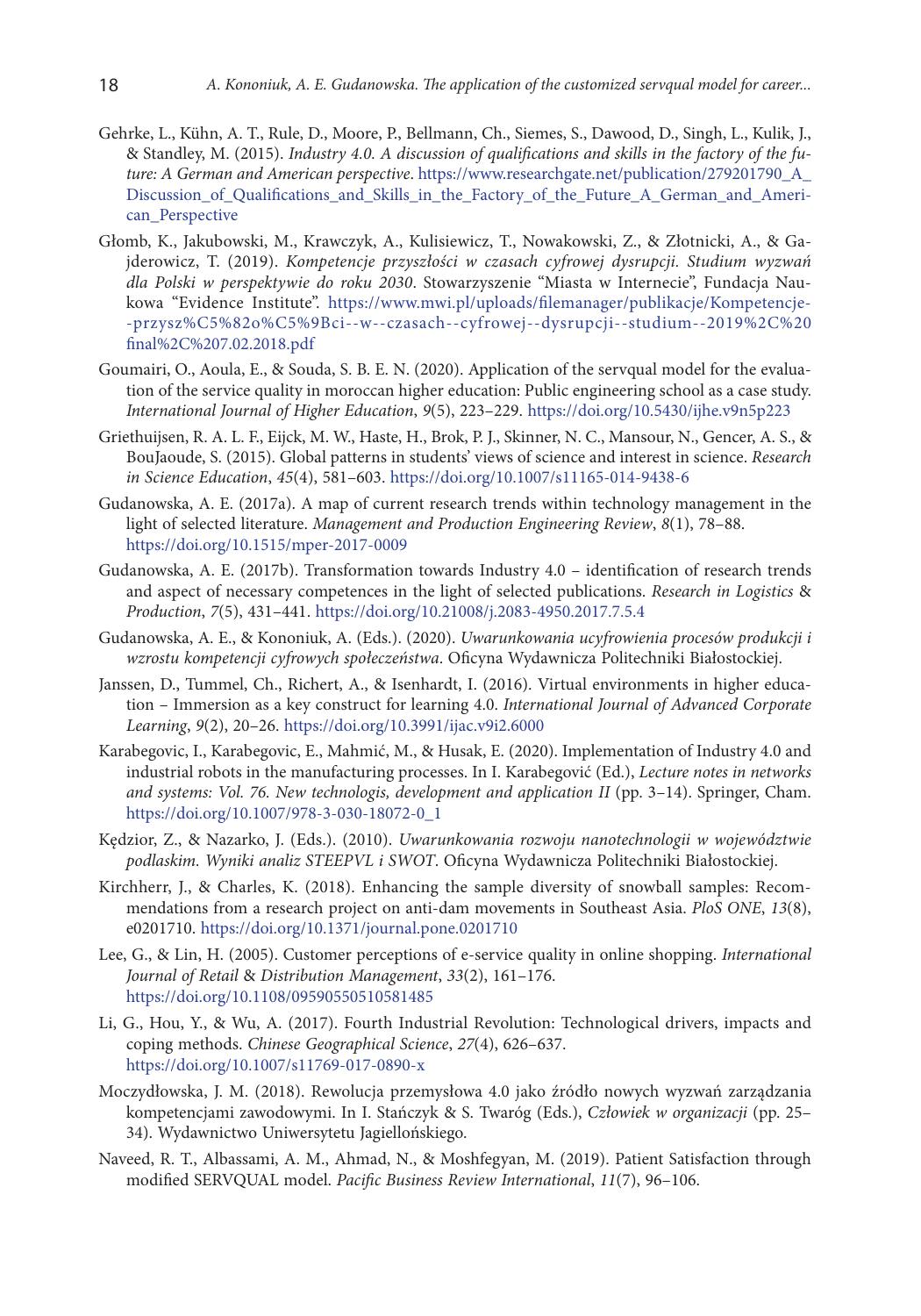- Gehrke, L., Kühn, A. T., Rule, D., Moore, P., Bellmann, Ch., Siemes, S., Dawood, D., Singh, L., Kulik, J., & Standley, M. (2015). *Industry 4.0. A discussion of qualifications and skills in the factory of the future: A German and American perspective*. [https://www.researchgate.net/publication/279201790\\_A\\_](https://www.researchgate.net/publication/279201790_A_Discussion_of_Qualifications_and_Skills_in_the_Factory_of_the_Future_A_German_and_American_Perspective) [Discussion\\_of\\_Qualifications\\_and\\_Skills\\_in\\_the\\_Factory\\_of\\_the\\_Future\\_A\\_German\\_and\\_Ameri](https://www.researchgate.net/publication/279201790_A_Discussion_of_Qualifications_and_Skills_in_the_Factory_of_the_Future_A_German_and_American_Perspective)[can\\_Perspective](https://www.researchgate.net/publication/279201790_A_Discussion_of_Qualifications_and_Skills_in_the_Factory_of_the_Future_A_German_and_American_Perspective)
- Głomb, K., Jakubowski, M., Krawczyk, A., Kulisiewicz, T., Nowakowski, Z., & Złotnicki, A., & Gajderowicz, T. (2019). *Kompetencje przyszłości w czasach cyfrowej dysrupcji. Studium wyzwań dla Polski w perspektywie do roku 2030*. Stowarzyszenie "Miasta w Internecie", Fundacja Naukowa "Evidence Institute". [https://www.mwi.pl/uploads/filemanager/publikacje/Kompetencje-](https://www.mwi.pl/uploads/filemanager/publikacje/Kompetencje--przysz%C5%82o%C5%9Bci--w--czasach--cyfrowej--dysrupcji--studium--2019%2C%20final%2C%207.02.2018.pdf) [-przysz%C5%82o%C5%9Bci--w--czasach--cyfrowej--dysrupcji--studium--2019%2C%20](https://www.mwi.pl/uploads/filemanager/publikacje/Kompetencje--przysz%C5%82o%C5%9Bci--w--czasach--cyfrowej--dysrupcji--studium--2019%2C%20final%2C%207.02.2018.pdf) [final%2C%207.02.2018.pdf](https://www.mwi.pl/uploads/filemanager/publikacje/Kompetencje--przysz%C5%82o%C5%9Bci--w--czasach--cyfrowej--dysrupcji--studium--2019%2C%20final%2C%207.02.2018.pdf)
- Goumairi, O., Aoula, E., & Souda, S. B. E. N. (2020). Application of the servqual model for the evaluation of the service quality in moroccan higher education: Public engineering school as a case study. *International Journal of Higher Education*, *9*(5), 223–229. <https://doi.org/10.5430/ijhe.v9n5p223>
- Griethuijsen, R. A. L. F., Eijck, M. W., Haste, H., Brok, P. J., Skinner, N. C., Mansour, N., Gencer, A. S., & BouJaoude, S. (2015). Global patterns in students' views of science and interest in science. *Research in Science Education*, *45*(4), 581–603. <https://doi.org/10.1007/s11165-014-9438-6>
- Gudanowska, A. E. (2017a). A map of current research trends within technology management in the light of selected literature. *Management and Production Engineering Review*, *8*(1), 78–88. <https://doi.org/10.1515/mper-2017-0009>
- Gudanowska, A. E. (2017b). Transformation towards Industry 4.0 identification of research trends and aspect of necessary competences in the light of selected publications. *Research in Logistics* & *Production*, *7*(5), 431–441. <https://doi.org/10.21008/j.2083-4950.2017.7.5.4>
- Gudanowska, A. E., & Kononiuk, A. (Eds.). (2020). *Uwarunkowania ucyfrowienia procesów produkcji i wzrostu kompetencji cyfrowych społeczeństwa*. Oficyna Wydawnicza Politechniki Białostockiej.
- Janssen, D., Tummel, Ch., Richert, A., & Isenhardt, I. (2016). Virtual environments in higher education – Immersion as a key construct for learning 4.0. *International Journal of Advanced Corporate Learning*, *9*(2), 20–26. <https://doi.org/10.3991/ijac.v9i2.6000>
- [Karabegovic, I.](http://bazy.pb.edu.pl:2083/OutboundService.do?SID=C34EqWlYfljziXBrHqb&mode=rrcAuthorRecordService&action=go&product=WOS&daisIds=1225794), [Karabegovic, E.](http://bazy.pb.edu.pl:2083/OutboundService.do?SID=C34EqWlYfljziXBrHqb&mode=rrcAuthorRecordService&action=go&product=WOS&daisIds=3679504), [Mahmić, M.](http://bazy.pb.edu.pl:2083/OutboundService.do?SID=C34EqWlYfljziXBrHqb&mode=rrcAuthorRecordService&action=go&product=WOS&daisIds=5181228), & [Husak, E.](http://bazy.pb.edu.pl:2083/OutboundService.do?SID=C34EqWlYfljziXBrHqb&mode=rrcAuthorRecordService&action=go&product=WOS&daisIds=3418669) (2020). Implementation of Industry 4.0 and industrial robots in the manufacturing processes. In I. Karabegović (Ed.), *Lecture notes in networks and systems: Vol. 76. New technologis, development and application II* (pp. 3–14). Springer, Cham. [https://doi.org/10.1007/978-3-030-18072-0\\_1](https://doi.org/10.1007/978-3-030-18072-0_1)
- Kędzior, Z., & Nazarko, J. (Eds.). (2010). *Uwarunkowania rozwoju nanotechnologii w województwie podlaskim. Wyniki analiz STEEPVL i SWOT*. Oficyna Wydawnicza Politechniki Białostockiej.
- Kirchherr, J., & Charles, K. (2018). Enhancing the sample diversity of snowball samples: Recommendations from a research project on anti-dam movements in Southeast Asia. *PloS ONE*, *13*(8), e0201710. <https://doi.org/10.1371/journal.pone.0201710>
- Lee, G., & Lin, H. (2005). Customer perceptions of e-service quality in online shopping. *International Journal of Retail* & *Distribution Management*, *33*(2), 161–176. <https://doi.org/10.1108/09590550510581485>
- Li, G., Hou, Y., & Wu, A. (2017). Fourth Industrial Revolution: Technological drivers, impacts and coping methods. *Chinese Geographical Science*, *27*(4), 626–637. <https://doi.org/10.1007/s11769-017-0890-x>
- Moczydłowska, J. M. (2018). Rewolucja przemysłowa 4.0 jako źródło nowych wyzwań zarządzania kompetencjami zawodowymi. In I. Stańczyk & S. Twaróg (Eds.), *Człowiek w organizacji* (pp. 25– 34). Wydawnictwo Uniwersytetu Jagiellońskiego.
- [Naveed, R. T.,](http://bazy.pb.edu.pl:2083/OutboundService.do?SID=C34EqWlYfljziXBrHqb&mode=rrcAuthorRecordService&action=go&product=WOS&daisIds=26751723) [Albassami, A. M.](http://bazy.pb.edu.pl:2083/OutboundService.do?SID=C34EqWlYfljziXBrHqb&mode=rrcAuthorRecordService&action=go&product=WOS&daisIds=29979780), [Ahmad, N.,](http://bazy.pb.edu.pl:2083/OutboundService.do?SID=C34EqWlYfljziXBrHqb&mode=rrcAuthorRecordService&action=go&product=WOS&daisIds=32193063) & Moshfegyan, M. (2019). Patient Satisfaction through modified SERVQUAL model. *Pacific Business Review International*, *11*(7), 96–106.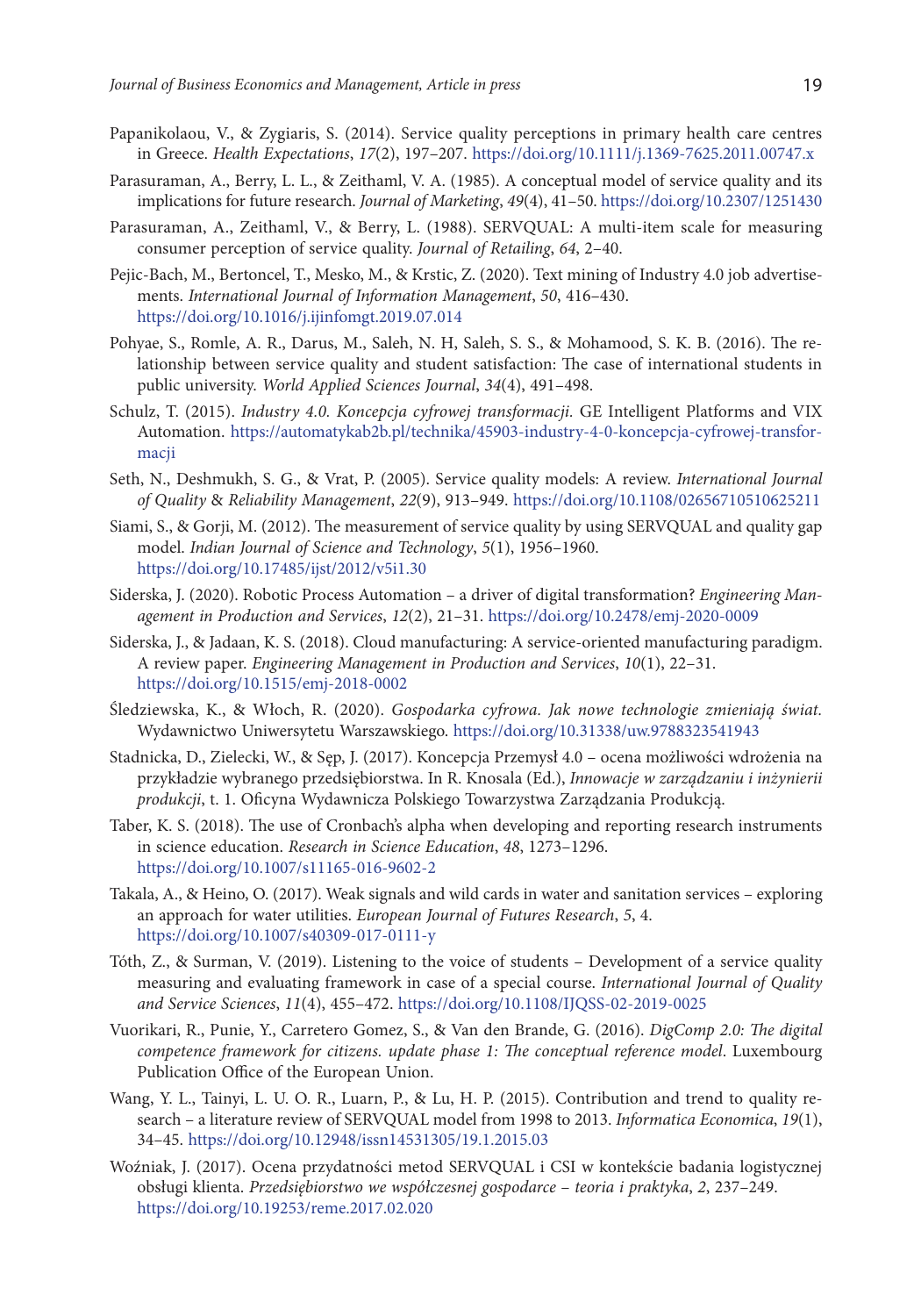- Papanikolaou, V., & Zygiaris, S. (2014). Service quality perceptions in primary health care centres in Greece. *Health Expectations*, *17*(2), 197–207. <https://doi.org/10.1111/j.1369-7625.2011.00747.x>
- Parasuraman, A., Berry, L. L., & Zeithaml, V. A. (1985). A conceptual model of service quality and its implications for future research. *Journal of Marketing*, *49*(4), 41–50. <https://doi.org/10.2307/1251430>
- Parasuraman, A., Zeithaml, V., & Berry, L. (1988). SERVQUAL: A multi-item scale for measuring consumer perception of service quality. *Journal of Retailing*, *64*, 2–40.
- Pejic-Bach, M., Bertoncel, T., Mesko, M., & Krstic, Z. (2020). Text mining of Industry 4.0 job advertisements. *International Journal of Information Management*, *50*, 416–430. <https://doi.org/10.1016/j.ijinfomgt.2019.07.014>
- Pohyae, S., Romle, A. R., Darus, M., Saleh, N. H, Saleh, S. S., & Mohamood, S. K. B. (2016). The relationship between service quality and student satisfaction: The case of international students in public university. *World Applied Sciences Journal*, *34*(4), 491–498.
- Schulz, T. (2015). *Industry 4.0. Koncepcja cyfrowej transformacji.* GE Intelligent Platforms and VIX Automation. [https://automatykab2b.pl/technika/45903-industry-4-0-koncepcja-cyfrowej-transfor](https://automatykab2b.pl/technika/45903-industry-4-0-koncepcja-cyfrowej-transformacji)[macji](https://automatykab2b.pl/technika/45903-industry-4-0-koncepcja-cyfrowej-transformacji)
- Seth, N., Deshmukh, S. G., & Vrat, P. (2005). Service quality models: A review. *International Journal of Quality* & *Reliability Management*, *22*(9), 913–949. <https://doi.org/10.1108/02656710510625211>
- Siami, S., & Gorji, M. (2012). The measurement of service quality by using SERVQUAL and quality gap model. *Indian Journal of Science and Technology*, *5*(1), 1956–1960. <https://doi.org/10.17485/ijst/2012/v5i1.30>
- Siderska, J. (2020). Robotic Process Automation a driver of digital transformation? *Engineering Management in Production and Services*, *12*(2), 21–31. <https://doi.org/10.2478/emj-2020-0009>
- Siderska, J., & Jadaan, K. S. (2018). Cloud manufacturing: A service-oriented manufacturing paradigm. A review paper. *Engineering Management in Production and Services*, *10*(1), 22–31. <https://doi.org/10.1515/emj-2018-0002>
- Śledziewska, K., & Włoch, R. (2020). *Gospodarka cyfrowa. Jak nowe technologie zmieniają świat.* Wydawnictwo Uniwersytetu Warszawskiego.<https://doi.org/10.31338/uw.9788323541943>
- Stadnicka, D., Zielecki, W., & Sęp, J. (2017). Koncepcja Przemysł 4.0 ocena możliwości wdrożenia na przykładzie wybranego przedsiębiorstwa. In R. Knosala (Ed.), *Innowacje w zarządzaniu i inżynierii produkcji*, t. 1. Oficyna Wydawnicza Polskiego Towarzystwa Zarządzania Produkcją.
- Taber, K. S. (2018). The use of Cronbach's alpha when developing and reporting research instruments in science education. *Research in Science Education*, *48*, 1273–1296. <https://doi.org/10.1007/s11165-016-9602-2>
- [Takala, A](http://bazy.pb.edu.pl:2083/OutboundService.do?SID=C34EqWlYfljziXBrHqb&mode=rrcAuthorRecordService&action=go&product=WOS&daisIds=3460566)., & [Heino, O](http://bazy.pb.edu.pl:2083/OutboundService.do?SID=C34EqWlYfljziXBrHqb&mode=rrcAuthorRecordService&action=go&product=WOS&daisIds=6930262). (2017). Weak signals and wild cards in water and sanitation services exploring an approach for water utilities. *European Journal of Futures Research*, *5*, 4. <https://doi.org/10.1007/s40309-017-0111-y>
- Tóth, Z., & Surman, V. (2019). Listening to the voice of students Development of a service quality measuring and evaluating framework in case of a special course. *International Journal of Quality and Service Sciences*, *11*(4), 455–472. <https://doi.org/10.1108/IJQSS-02-2019-0025>
- Vuorikari, R., Punie, Y., Carretero Gomez, S., & Van den Brande, G. (2016). *DigComp 2.0: The digital competence framework for citizens. update phase 1: The conceptual reference model*. Luxembourg Publication Office of the European Union.
- Wang, Y. L., Tainyi, L. U. O. R., Luarn, P., & Lu, H. P. (2015). Contribution and trend to quality research – a literature review of SERVQUAL model from 1998 to 2013. *Informatica Economica*, *19*(1), 34–45. <https://doi.org/10.12948/issn14531305/19.1.2015.03>
- Woźniak, J. (2017). Ocena przydatności metod SERVQUAL i CSI w kontekście badania logistycznej obsługi klienta. *Przedsiębiorstwo we współczesnej gospodarce* – *teoria i praktyka*, *2*, 237–249. <https://doi.org/10.19253/reme.2017.02.020>